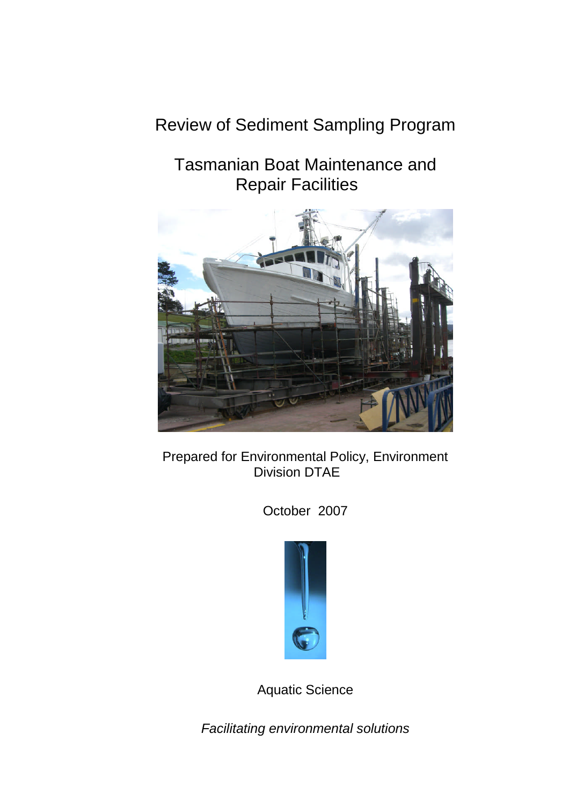# Review of Sediment Sampling Program

# Tasmanian Boat Maintenance and Repair Facilities



Prepared for Environmental Policy, Environment Division DTAE

October 2007



Aquatic Science

*Facilitating environmental solutions*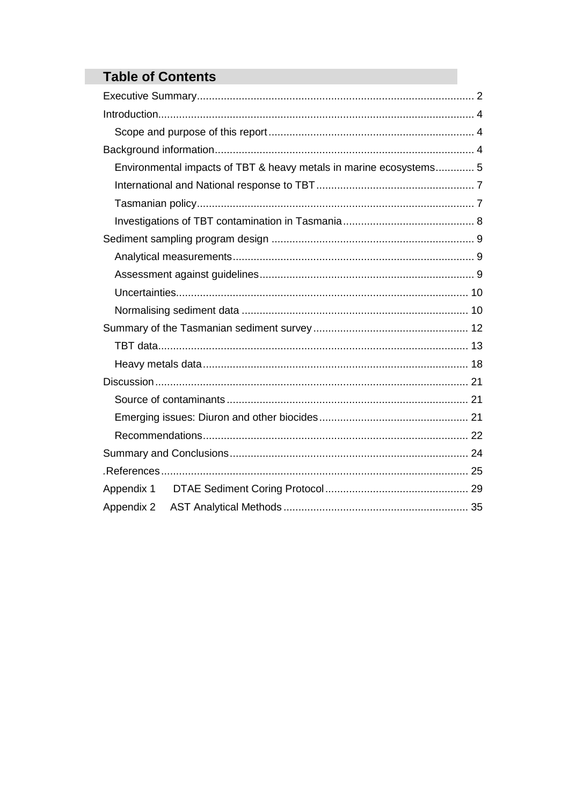# **Table of Contents**

| Environmental impacts of TBT & heavy metals in marine ecosystems 5 |  |
|--------------------------------------------------------------------|--|
|                                                                    |  |
|                                                                    |  |
|                                                                    |  |
|                                                                    |  |
|                                                                    |  |
|                                                                    |  |
|                                                                    |  |
|                                                                    |  |
|                                                                    |  |
|                                                                    |  |
|                                                                    |  |
|                                                                    |  |
|                                                                    |  |
|                                                                    |  |
|                                                                    |  |
|                                                                    |  |
|                                                                    |  |
|                                                                    |  |
|                                                                    |  |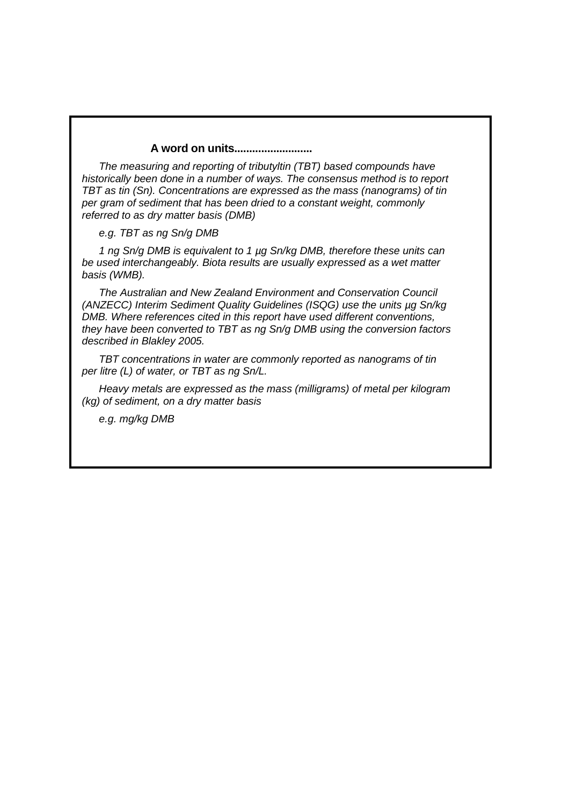#### **A word on units..........................**

*The measuring and reporting of tributyltin (TBT) based compounds have historically been done in a number of ways. The consensus method is to report TBT as tin (Sn). Concentrations are expressed as the mass (nanograms) of tin per gram of sediment that has been dried to a constant weight, commonly referred to as dry matter basis (DMB)*

*e.g. TBT as ng Sn/g DMB*

*1 ng Sn/g DMB is equivalent to 1 µg Sn/kg DMB, therefore these units can be used interchangeably. Biota results are usually expressed as a wet matter basis (WMB).*

*The Australian and New Zealand Environment and Conservation Council (ANZECC) Interim Sediment Quality Guidelines (ISQG) use the units µg Sn/kg DMB. Where references cited in this report have used different conventions, they have been converted to TBT as ng Sn/g DMB using the conversion factors described in Blakley 2005.*

*TBT concentrations in water are commonly reported as nanograms of tin per litre (L) of water, or TBT as ng Sn/L.*

*Heavy metals are expressed as the mass (milligrams) of metal per kilogram (kg) of sediment, on a dry matter basis*

*e.g. mg/kg DMB*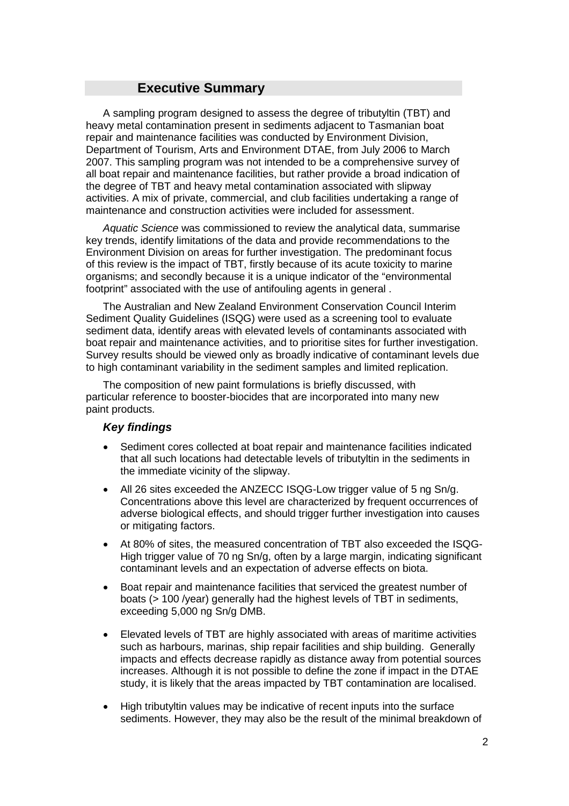## **Executive Summary**

A sampling program designed to assess the degree of tributyltin (TBT) and heavy metal contamination present in sediments adjacent to Tasmanian boat repair and maintenance facilities was conducted by Environment Division, Department of Tourism, Arts and Environment DTAE, from July 2006 to March 2007. This sampling program was not intended to be a comprehensive survey of all boat repair and maintenance facilities, but rather provide a broad indication of the degree of TBT and heavy metal contamination associated with slipway activities. A mix of private, commercial, and club facilities undertaking a range of maintenance and construction activities were included for assessment.

*Aquatic Science* was commissioned to review the analytical data, summarise key trends, identify limitations of the data and provide recommendations to the Environment Division on areas for further investigation. The predominant focus of this review is the impact of TBT, firstly because of its acute toxicity to marine organisms; and secondly because it is a unique indicator of the "environmental footprint" associated with the use of antifouling agents in general .

The Australian and New Zealand Environment Conservation Council Interim Sediment Quality Guidelines (ISQG) were used as a screening tool to evaluate sediment data, identify areas with elevated levels of contaminants associated with boat repair and maintenance activities, and to prioritise sites for further investigation. Survey results should be viewed only as broadly indicative of contaminant levels due to high contaminant variability in the sediment samples and limited replication.

The composition of new paint formulations is briefly discussed, with particular reference to booster-biocides that are incorporated into many new paint products.

#### *Key findings*

- Sediment cores collected at boat repair and maintenance facilities indicated that all such locations had detectable levels of tributyltin in the sediments in the immediate vicinity of the slipway.
- All 26 sites exceeded the ANZECC ISQG-Low trigger value of 5 ng Sn/g. Concentrations above this level are characterized by frequent occurrences of adverse biological effects, and should trigger further investigation into causes or mitigating factors.
- At 80% of sites, the measured concentration of TBT also exceeded the ISQG-High trigger value of 70 ng Sn/g, often by a large margin, indicating significant contaminant levels and an expectation of adverse effects on biota.
- Boat repair and maintenance facilities that serviced the greatest number of boats (> 100 /year) generally had the highest levels of TBT in sediments, exceeding 5,000 ng Sn/g DMB.
- Elevated levels of TBT are highly associated with areas of maritime activities such as harbours, marinas, ship repair facilities and ship building. Generally impacts and effects decrease rapidly as distance away from potential sources increases. Although it is not possible to define the zone if impact in the DTAE study, it is likely that the areas impacted by TBT contamination are localised.
- High tributyltin values may be indicative of recent inputs into the surface sediments. However, they may also be the result of the minimal breakdown of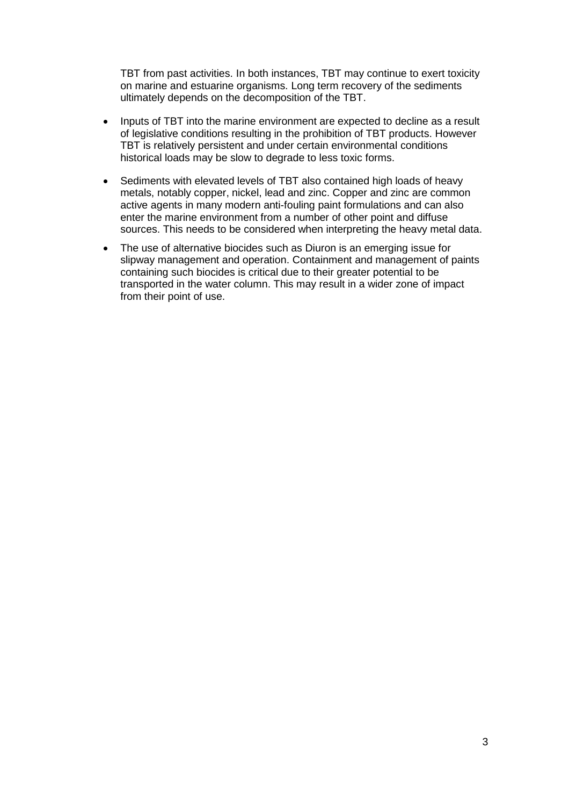TBT from past activities. In both instances, TBT may continue to exert toxicity on marine and estuarine organisms. Long term recovery of the sediments ultimately depends on the decomposition of the TBT.

- Inputs of TBT into the marine environment are expected to decline as a result of legislative conditions resulting in the prohibition of TBT products. However TBT is relatively persistent and under certain environmental conditions historical loads may be slow to degrade to less toxic forms.
- Sediments with elevated levels of TBT also contained high loads of heavy metals, notably copper, nickel, lead and zinc. Copper and zinc are common active agents in many modern anti-fouling paint formulations and can also enter the marine environment from a number of other point and diffuse sources. This needs to be considered when interpreting the heavy metal data.
- The use of alternative biocides such as Diuron is an emerging issue for slipway management and operation. Containment and management of paints containing such biocides is critical due to their greater potential to be transported in the water column. This may result in a wider zone of impact from their point of use.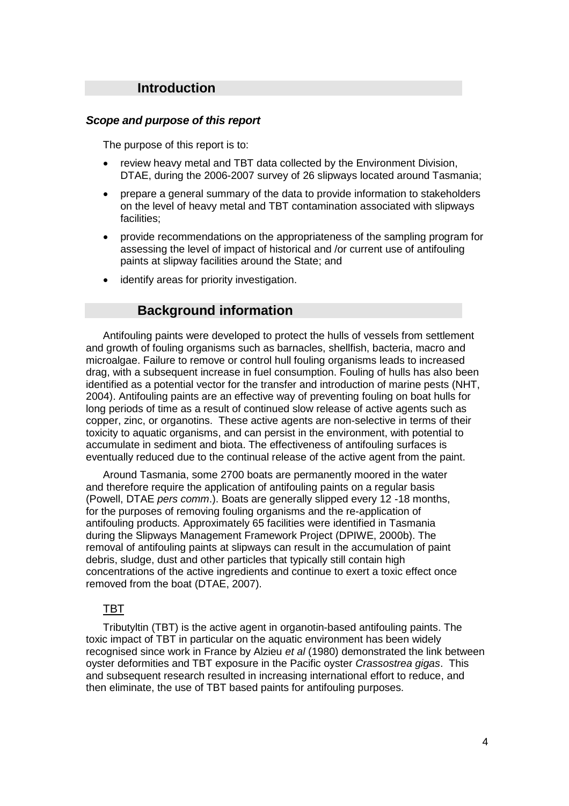## **Introduction**

#### *Scope and purpose of this report*

The purpose of this report is to:

- review heavy metal and TBT data collected by the Environment Division, DTAE, during the 2006-2007 survey of 26 slipways located around Tasmania;
- prepare a general summary of the data to provide information to stakeholders on the level of heavy metal and TBT contamination associated with slipways facilities;
- provide recommendations on the appropriateness of the sampling program for assessing the level of impact of historical and /or current use of antifouling paints at slipway facilities around the State; and
- identify areas for priority investigation.

## **Background information**

Antifouling paints were developed to protect the hulls of vessels from settlement and growth of fouling organisms such as barnacles, shellfish, bacteria, macro and microalgae. Failure to remove or control hull fouling organisms leads to increased drag, with a subsequent increase in fuel consumption. Fouling of hulls has also been identified as a potential vector for the transfer and introduction of marine pests (NHT, 2004). Antifouling paints are an effective way of preventing fouling on boat hulls for long periods of time as a result of continued slow release of active agents such as copper, zinc, or organotins. These active agents are non-selective in terms of their toxicity to aquatic organisms, and can persist in the environment, with potential to accumulate in sediment and biota. The effectiveness of antifouling surfaces is eventually reduced due to the continual release of the active agent from the paint.

Around Tasmania, some 2700 boats are permanently moored in the water and therefore require the application of antifouling paints on a regular basis (Powell, DTAE *pers comm*.). Boats are generally slipped every 12 -18 months, for the purposes of removing fouling organisms and the re-application of antifouling products. Approximately 65 facilities were identified in Tasmania during the Slipways Management Framework Project (DPIWE, 2000b). The removal of antifouling paints at slipways can result in the accumulation of paint debris, sludge, dust and other particles that typically still contain high concentrations of the active ingredients and continue to exert a toxic effect once removed from the boat (DTAE, 2007).

#### TBT

Tributyltin (TBT) is the active agent in organotin-based antifouling paints. The toxic impact of TBT in particular on the aquatic environment has been widely recognised since work in France by Alzieu *et al* (1980) demonstrated the link between oyster deformities and TBT exposure in the Pacific oyster *Crassostrea gigas*. This and subsequent research resulted in increasing international effort to reduce, and then eliminate, the use of TBT based paints for antifouling purposes.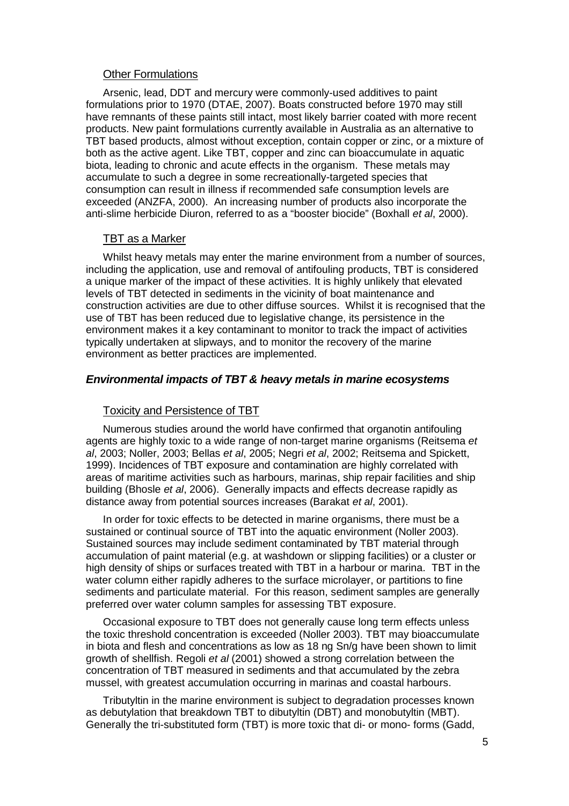#### Other Formulations

Arsenic, lead, DDT and mercury were commonly-used additives to paint formulations prior to 1970 (DTAE, 2007). Boats constructed before 1970 may still have remnants of these paints still intact, most likely barrier coated with more recent products. New paint formulations currently available in Australia as an alternative to TBT based products, almost without exception, contain copper or zinc, or a mixture of both as the active agent. Like TBT, copper and zinc can bioaccumulate in aquatic biota, leading to chronic and acute effects in the organism. These metals may accumulate to such a degree in some recreationally-targeted species that consumption can result in illness if recommended safe consumption levels are exceeded (ANZFA, 2000). An increasing number of products also incorporate the anti-slime herbicide Diuron, referred to as a "booster biocide" (Boxhall *et al*, 2000).

#### TBT as a Marker

Whilst heavy metals may enter the marine environment from a number of sources, including the application, use and removal of antifouling products, TBT is considered a unique marker of the impact of these activities. It is highly unlikely that elevated levels of TBT detected in sediments in the vicinity of boat maintenance and construction activities are due to other diffuse sources. Whilst it is recognised that the use of TBT has been reduced due to legislative change, its persistence in the environment makes it a key contaminant to monitor to track the impact of activities typically undertaken at slipways, and to monitor the recovery of the marine environment as better practices are implemented.

#### *Environmental impacts of TBT & heavy metals in marine ecosystems*

#### Toxicity and Persistence of TBT

Numerous studies around the world have confirmed that organotin antifouling agents are highly toxic to a wide range of non-target marine organisms (Reitsema *et al*, 2003; Noller, 2003; Bellas *et al*, 2005; Negri *et al*, 2002; Reitsema and Spickett, 1999). Incidences of TBT exposure and contamination are highly correlated with areas of maritime activities such as harbours, marinas, ship repair facilities and ship building (Bhosle *et al*, 2006). Generally impacts and effects decrease rapidly as distance away from potential sources increases (Barakat *et al*, 2001).

In order for toxic effects to be detected in marine organisms, there must be a sustained or continual source of TBT into the aquatic environment (Noller 2003). Sustained sources may include sediment contaminated by TBT material through accumulation of paint material (e.g. at washdown or slipping facilities) or a cluster or high density of ships or surfaces treated with TBT in a harbour or marina. TBT in the water column either rapidly adheres to the surface microlayer, or partitions to fine sediments and particulate material. For this reason, sediment samples are generally preferred over water column samples for assessing TBT exposure.

Occasional exposure to TBT does not generally cause long term effects unless the toxic threshold concentration is exceeded (Noller 2003). TBT may bioaccumulate in biota and flesh and concentrations as low as 18 ng Sn/g have been shown to limit growth of shellfish. Regoli *et al* (2001) showed a strong correlation between the concentration of TBT measured in sediments and that accumulated by the zebra mussel, with greatest accumulation occurring in marinas and coastal harbours.

Tributyltin in the marine environment is subject to degradation processes known as debutylation that breakdown TBT to dibutyltin (DBT) and monobutyltin (MBT). Generally the tri-substituted form (TBT) is more toxic that di- or mono- forms (Gadd,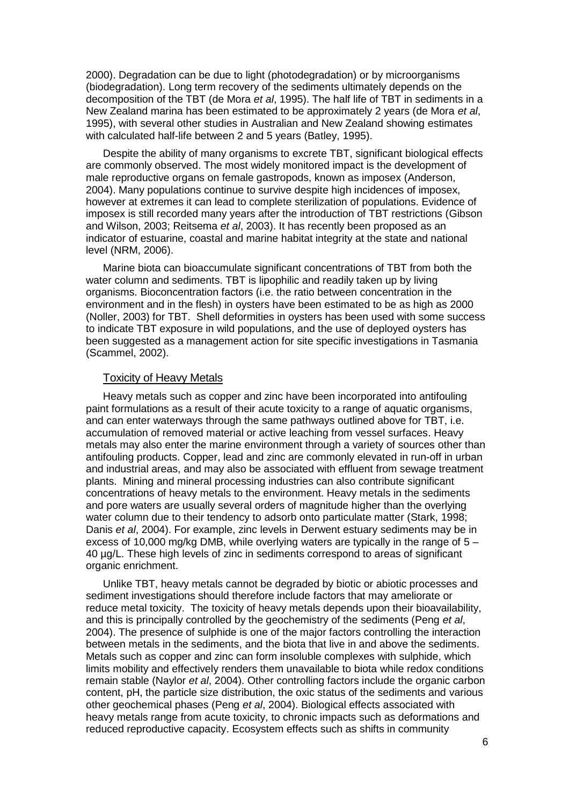2000). Degradation can be due to light (photodegradation) or by microorganisms (biodegradation). Long term recovery of the sediments ultimately depends on the decomposition of the TBT (de Mora *et al*, 1995). The half life of TBT in sediments in a New Zealand marina has been estimated to be approximately 2 years (de Mora *et al*, 1995), with several other studies in Australian and New Zealand showing estimates with calculated half-life between 2 and 5 years (Batley, 1995).

Despite the ability of many organisms to excrete TBT, significant biological effects are commonly observed. The most widely monitored impact is the development of male reproductive organs on female gastropods, known as imposex (Anderson, 2004). Many populations continue to survive despite high incidences of imposex, however at extremes it can lead to complete sterilization of populations. Evidence of imposex is still recorded many years after the introduction of TBT restrictions (Gibson and Wilson, 2003; Reitsema *et al*, 2003). It has recently been proposed as an indicator of estuarine, coastal and marine habitat integrity at the state and national level (NRM, 2006).

Marine biota can bioaccumulate significant concentrations of TBT from both the water column and sediments. TBT is lipophilic and readily taken up by living organisms. Bioconcentration factors (i.e. the ratio between concentration in the environment and in the flesh) in oysters have been estimated to be as high as 2000 (Noller, 2003) for TBT. Shell deformities in oysters has been used with some success to indicate TBT exposure in wild populations, and the use of deployed oysters has been suggested as a management action for site specific investigations in Tasmania (Scammel, 2002).

#### Toxicity of Heavy Metals

Heavy metals such as copper and zinc have been incorporated into antifouling paint formulations as a result of their acute toxicity to a range of aquatic organisms, and can enter waterways through the same pathways outlined above for TBT, i.e. accumulation of removed material or active leaching from vessel surfaces. Heavy metals may also enter the marine environment through a variety of sources other than antifouling products. Copper, lead and zinc are commonly elevated in run-off in urban and industrial areas, and may also be associated with effluent from sewage treatment plants. Mining and mineral processing industries can also contribute significant concentrations of heavy metals to the environment. Heavy metals in the sediments and pore waters are usually several orders of magnitude higher than the overlying water column due to their tendency to adsorb onto particulate matter (Stark, 1998; Danis *et al*, 2004). For example, zinc levels in Derwent estuary sediments may be in excess of 10,000 mg/kg DMB, while overlying waters are typically in the range of 5 – 40 µg/L. These high levels of zinc in sediments correspond to areas of significant organic enrichment.

Unlike TBT, heavy metals cannot be degraded by biotic or abiotic processes and sediment investigations should therefore include factors that may ameliorate or reduce metal toxicity. The toxicity of heavy metals depends upon their bioavailability, and this is principally controlled by the geochemistry of the sediments (Peng *et al*, 2004). The presence of sulphide is one of the major factors controlling the interaction between metals in the sediments, and the biota that live in and above the sediments. Metals such as copper and zinc can form insoluble complexes with sulphide, which limits mobility and effectively renders them unavailable to biota while redox conditions remain stable (Naylor *et al*, 2004). Other controlling factors include the organic carbon content, pH, the particle size distribution, the oxic status of the sediments and various other geochemical phases (Peng *et al*, 2004). Biological effects associated with heavy metals range from acute toxicity, to chronic impacts such as deformations and reduced reproductive capacity. Ecosystem effects such as shifts in community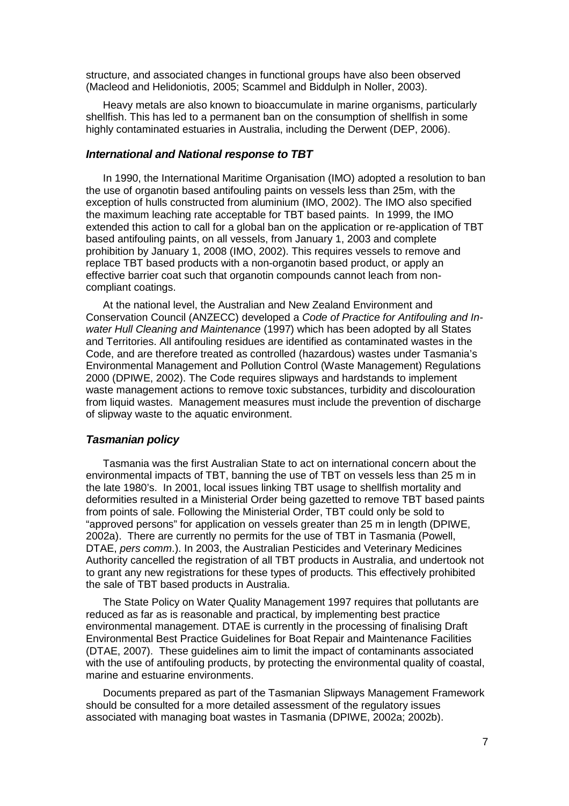structure, and associated changes in functional groups have also been observed (Macleod and Helidoniotis, 2005; Scammel and Biddulph in Noller, 2003).

Heavy metals are also known to bioaccumulate in marine organisms, particularly shellfish. This has led to a permanent ban on the consumption of shellfish in some highly contaminated estuaries in Australia, including the Derwent (DEP, 2006).

#### *International and National response to TBT*

In 1990, the International Maritime Organisation (IMO) adopted a resolution to ban the use of organotin based antifouling paints on vessels less than 25m, with the exception of hulls constructed from aluminium (IMO, 2002). The IMO also specified the maximum leaching rate acceptable for TBT based paints. In 1999, the IMO extended this action to call for a global ban on the application or re-application of TBT based antifouling paints, on all vessels, from January 1, 2003 and complete prohibition by January 1, 2008 (IMO, 2002). This requires vessels to remove and replace TBT based products with a non-organotin based product, or apply an effective barrier coat such that organotin compounds cannot leach from noncompliant coatings.

At the national level, the Australian and New Zealand Environment and Conservation Council (ANZECC) developed a *Code of Practice for Antifouling and Inwater Hull Cleaning and Maintenance* (1997) which has been adopted by all States and Territories. All antifouling residues are identified as contaminated wastes in the Code, and are therefore treated as controlled (hazardous) wastes under Tasmania's Environmental Management and Pollution Control (Waste Management) Regulations 2000 (DPIWE, 2002). The Code requires slipways and hardstands to implement waste management actions to remove toxic substances, turbidity and discolouration from liquid wastes. Management measures must include the prevention of discharge of slipway waste to the aquatic environment.

#### *Tasmanian policy*

Tasmania was the first Australian State to act on international concern about the environmental impacts of TBT, banning the use of TBT on vessels less than 25 m in the late 1980's. In 2001, local issues linking TBT usage to shellfish mortality and deformities resulted in a Ministerial Order being gazetted to remove TBT based paints from points of sale. Following the Ministerial Order, TBT could only be sold to "approved persons" for application on vessels greater than 25 m in length (DPIWE, 2002a). There are currently no permits for the use of TBT in Tasmania (Powell, DTAE, *pers comm*.). In 2003, the Australian Pesticides and Veterinary Medicines Authority cancelled the registration of all TBT products in Australia, and undertook not to grant any new registrations for these types of products*.* This effectively prohibited the sale of TBT based products in Australia.

The State Policy on Water Quality Management 1997 requires that pollutants are reduced as far as is reasonable and practical, by implementing best practice environmental management. DTAE is currently in the processing of finalising Draft Environmental Best Practice Guidelines for Boat Repair and Maintenance Facilities (DTAE, 2007). These guidelines aim to limit the impact of contaminants associated with the use of antifouling products, by protecting the environmental quality of coastal, marine and estuarine environments.

Documents prepared as part of the Tasmanian Slipways Management Framework should be consulted for a more detailed assessment of the regulatory issues associated with managing boat wastes in Tasmania (DPIWE, 2002a; 2002b).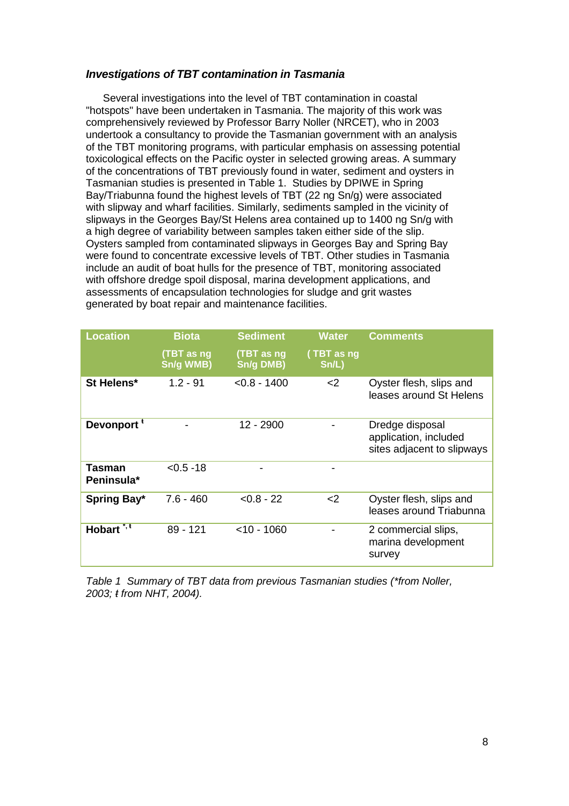#### *Investigations of TBT contamination in Tasmania*

Several investigations into the level of TBT contamination in coastal "hotspots" have been undertaken in Tasmania. The majority of this work was comprehensively reviewed by Professor Barry Noller (NRCET), who in 2003 undertook a consultancy to provide the Tasmanian government with an analysis of the TBT monitoring programs, with particular emphasis on assessing potential toxicological effects on the Pacific oyster in selected growing areas. A summary of the concentrations of TBT previously found in water, sediment and oysters in Tasmanian studies is presented in Table 1. Studies by DPIWE in Spring Bay/Triabunna found the highest levels of TBT (22 ng Sn/g) were associated with slipway and wharf facilities. Similarly, sediments sampled in the vicinity of slipways in the Georges Bay/St Helens area contained up to 1400 ng Sn/g with a high degree of variability between samples taken either side of the slip. Oysters sampled from contaminated slipways in Georges Bay and Spring Bay were found to concentrate excessive levels of TBT. Other studies in Tasmania include an audit of boat hulls for the presence of TBT, monitoring associated with offshore dredge spoil disposal, marina development applications, and assessments of encapsulation technologies for sludge and grit wastes generated by boat repair and maintenance facilities.

| <b>Location</b>        | <b>Biota</b>            | <b>Sediment</b>         | <b>Water</b>        | <b>Comments</b>                                                        |
|------------------------|-------------------------|-------------------------|---------------------|------------------------------------------------------------------------|
|                        | (TBT as ng<br>Sn/g WMB) | (TBT as ng<br>Sn/g DMB) | (TBT as ng<br>Sn/L) |                                                                        |
| St Helens*             | $1.2 - 91$              | $< 0.8 - 1400$          | $<$ 2               | Oyster flesh, slips and<br>leases around St Helens                     |
| Devonport <sup>t</sup> |                         | 12 - 2900               |                     | Dredge disposal<br>application, included<br>sites adjacent to slipways |
| Tasman<br>Peninsula*   | $< 0.5 - 18$            |                         |                     |                                                                        |
| Spring Bay*            | $7.6 - 460$             | $< 0.8 - 22$            | $<$ 2               | Oyster flesh, slips and<br>leases around Triabunna                     |
| Hobart <sup>*, t</sup> | $89 - 121$              | $<$ 10 - 1060           |                     | 2 commercial slips,<br>marina development<br>survey                    |

*Table 1 Summary of TBT data from previous Tasmanian studies (\*from Noller, 2003; ŧ from NHT, 2004).*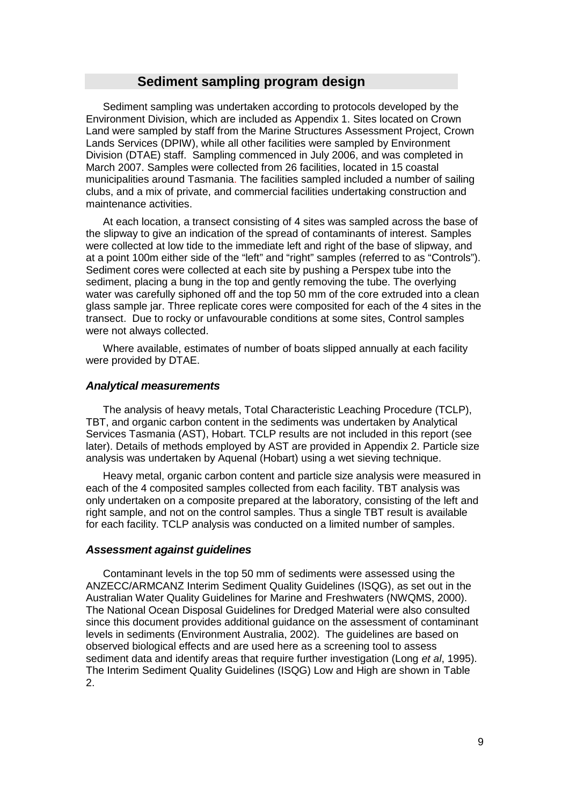## **Sediment sampling program design**

Sediment sampling was undertaken according to protocols developed by the Environment Division, which are included as Appendix 1. Sites located on Crown Land were sampled by staff from the Marine Structures Assessment Project, Crown Lands Services (DPIW), while all other facilities were sampled by Environment Division (DTAE) staff. Sampling commenced in July 2006, and was completed in March 2007. Samples were collected from 26 facilities, located in 15 coastal municipalities around Tasmania. The facilities sampled included a number of sailing clubs, and a mix of private, and commercial facilities undertaking construction and maintenance activities.

At each location, a transect consisting of 4 sites was sampled across the base of the slipway to give an indication of the spread of contaminants of interest. Samples were collected at low tide to the immediate left and right of the base of slipway, and at a point 100m either side of the "left" and "right" samples (referred to as "Controls"). Sediment cores were collected at each site by pushing a Perspex tube into the sediment, placing a bung in the top and gently removing the tube. The overlying water was carefully siphoned off and the top 50 mm of the core extruded into a clean glass sample jar. Three replicate cores were composited for each of the 4 sites in the transect. Due to rocky or unfavourable conditions at some sites, Control samples were not always collected.

Where available, estimates of number of boats slipped annually at each facility were provided by DTAE.

#### *Analytical measurements*

The analysis of heavy metals, Total Characteristic Leaching Procedure (TCLP), TBT, and organic carbon content in the sediments was undertaken by Analytical Services Tasmania (AST), Hobart. TCLP results are not included in this report (see later). Details of methods employed by AST are provided in Appendix 2. Particle size analysis was undertaken by Aquenal (Hobart) using a wet sieving technique.

Heavy metal, organic carbon content and particle size analysis were measured in each of the 4 composited samples collected from each facility. TBT analysis was only undertaken on a composite prepared at the laboratory, consisting of the left and right sample, and not on the control samples. Thus a single TBT result is available for each facility. TCLP analysis was conducted on a limited number of samples.

## *Assessment against guidelines*

Contaminant levels in the top 50 mm of sediments were assessed using the ANZECC/ARMCANZ Interim Sediment Quality Guidelines (ISQG), as set out in the Australian Water Quality Guidelines for Marine and Freshwaters (NWQMS, 2000). The National Ocean Disposal Guidelines for Dredged Material were also consulted since this document provides additional guidance on the assessment of contaminant levels in sediments (Environment Australia, 2002). The guidelines are based on observed biological effects and are used here as a screening tool to assess sediment data and identify areas that require further investigation (Long *et al*, 1995). The Interim Sediment Quality Guidelines (ISQG) Low and High are shown in Table 2.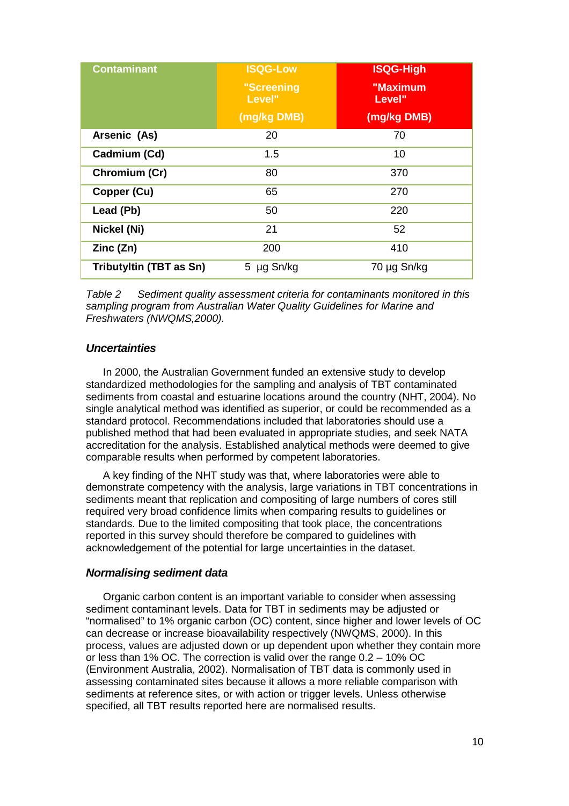| <b>Contaminant</b>      | <b>ISQG-Low</b>      | <b>ISQG-High</b>   |  |  |  |
|-------------------------|----------------------|--------------------|--|--|--|
|                         | "Screening<br>Level" | "Maximum<br>Level" |  |  |  |
|                         | (mg/kg DMB)          | (mg/kg DMB)        |  |  |  |
| Arsenic (As)            | 20                   | 70                 |  |  |  |
| Cadmium (Cd)            | 1.5                  | 10                 |  |  |  |
| Chromium (Cr)           | 80                   | 370                |  |  |  |
| Copper (Cu)             | 65                   | 270                |  |  |  |
| Lead (Pb)               | 50                   | 220                |  |  |  |
| Nickel (Ni)             | 21                   | 52                 |  |  |  |
| Zinc (Zn)               | 200                  | 410                |  |  |  |
| Tributyltin (TBT as Sn) | 5 µg Sn/kg           | 70 µg Sn/kg        |  |  |  |

*Table 2 Sediment quality assessment criteria for contaminants monitored in this sampling program from Australian Water Quality Guidelines for Marine and Freshwaters (NWQMS,2000).*

#### *Uncertainties*

In 2000, the Australian Government funded an extensive study to develop standardized methodologies for the sampling and analysis of TBT contaminated sediments from coastal and estuarine locations around the country (NHT, 2004). No single analytical method was identified as superior, or could be recommended as a standard protocol. Recommendations included that laboratories should use a published method that had been evaluated in appropriate studies, and seek NATA accreditation for the analysis. Established analytical methods were deemed to give comparable results when performed by competent laboratories.

A key finding of the NHT study was that, where laboratories were able to demonstrate competency with the analysis, large variations in TBT concentrations in sediments meant that replication and compositing of large numbers of cores still required very broad confidence limits when comparing results to guidelines or standards. Due to the limited compositing that took place, the concentrations reported in this survey should therefore be compared to guidelines with acknowledgement of the potential for large uncertainties in the dataset.

#### *Normalising sediment data*

Organic carbon content is an important variable to consider when assessing sediment contaminant levels. Data for TBT in sediments may be adjusted or "normalised" to 1% organic carbon (OC) content, since higher and lower levels of OC can decrease or increase bioavailability respectively (NWQMS, 2000). In this process, values are adjusted down or up dependent upon whether they contain more or less than 1% OC. The correction is valid over the range 0.2 – 10% OC (Environment Australia, 2002). Normalisation of TBT data is commonly used in assessing contaminated sites because it allows a more reliable comparison with sediments at reference sites, or with action or trigger levels. Unless otherwise specified, all TBT results reported here are normalised results.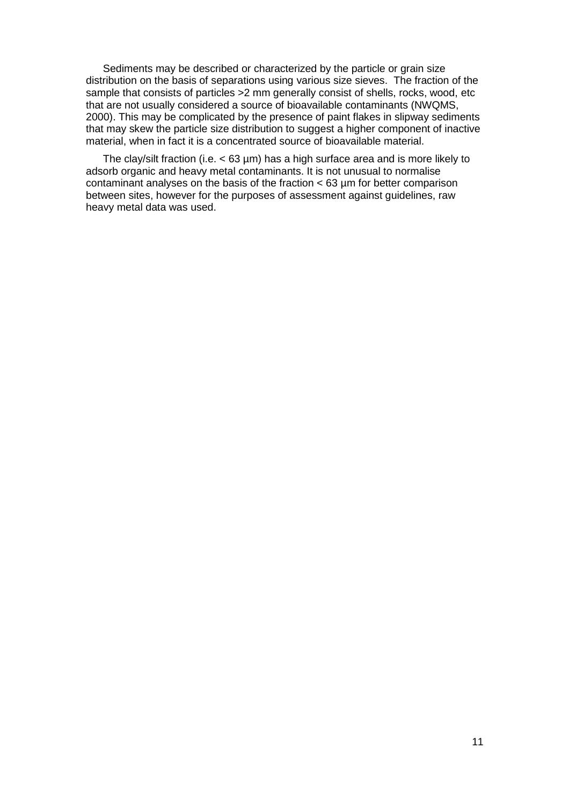Sediments may be described or characterized by the particle or grain size distribution on the basis of separations using various size sieves. The fraction of the sample that consists of particles > 2 mm generally consist of shells, rocks, wood, etc that are not usually considered a source of bioavailable contaminants (NWQMS, 2000). This may be complicated by the presence of paint flakes in slipway sediments that may skew the particle size distribution to suggest a higher component of inactive material, when in fact it is a concentrated source of bioavailable material.

The clay/silt fraction (i.e.  $< 63 \mu m$ ) has a high surface area and is more likely to adsorb organic and heavy metal contaminants. It is not unusual to normalise contaminant analyses on the basis of the fraction < 63 µm for better comparison between sites, however for the purposes of assessment against guidelines, raw heavy metal data was used.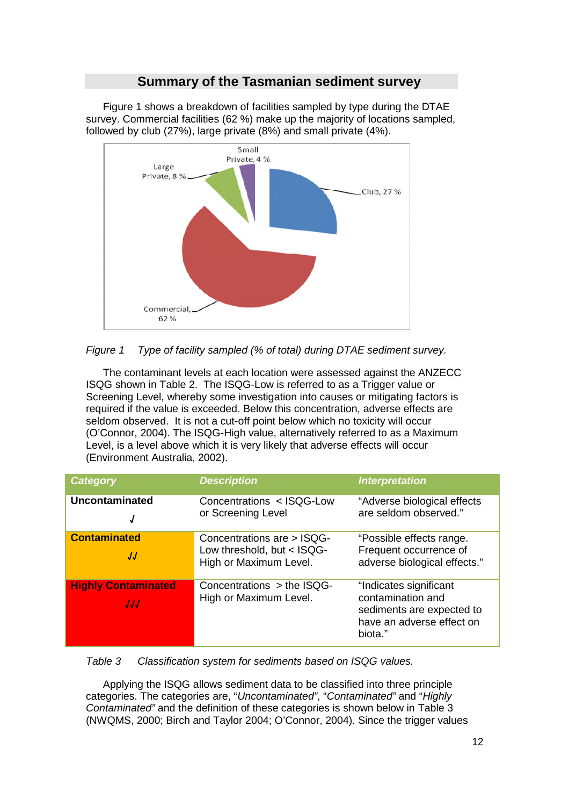## **Summary of the Tasmanian sediment survey**

Figure 1 shows a breakdown of facilities sampled by type during the DTAE survey. Commercial facilities (62 %) make up the majority of locations sampled, followed by club (27%), large private (8%) and small private (4%).





The contaminant levels at each location were assessed against the ANZECC ISQG shown in Table 2. The ISQG-Low is referred to as a Trigger value or Screening Level, whereby some investigation into causes or mitigating factors is required if the value is exceeded. Below this concentration, adverse effects are seldom observed. It is not a cut-off point below which no toxicity will occur (O'Connor, 2004). The ISQG-High value, alternatively referred to as a Maximum Level, is a level above which it is very likely that adverse effects will occur (Environment Australia, 2002).

| <b>Category</b>                   | <b>Description</b>                                                                 | <b>Interpretation</b>                                                                                            |
|-----------------------------------|------------------------------------------------------------------------------------|------------------------------------------------------------------------------------------------------------------|
| Uncontaminated<br>J               | Concentrations < ISQG-Low<br>or Screening Level                                    | "Adverse biological effects<br>are seldom observed."                                                             |
| <b>Contaminated</b><br>JJ         | Concentrations are > ISQG-<br>Low threshold, but < ISQG-<br>High or Maximum Level. | "Possible effects range.<br>Frequent occurrence of<br>adverse biological effects."                               |
| <b>Highly Contaminated</b><br>JJJ | Concentrations $>$ the ISQG-<br>High or Maximum Level.                             | "Indicates significant<br>contamination and<br>sediments are expected to<br>have an adverse effect on<br>biota." |

*Table 3 Classification system for sediments based on ISQG values.*

Applying the ISQG allows sediment data to be classified into three principle categories. The categories are, "*Uncontaminated"*, "*Contaminated"* and "*Highly Contaminated"* and the definition of these categories is shown below in Table 3 (NWQMS, 2000; Birch and Taylor 2004; O'Connor, 2004). Since the trigger values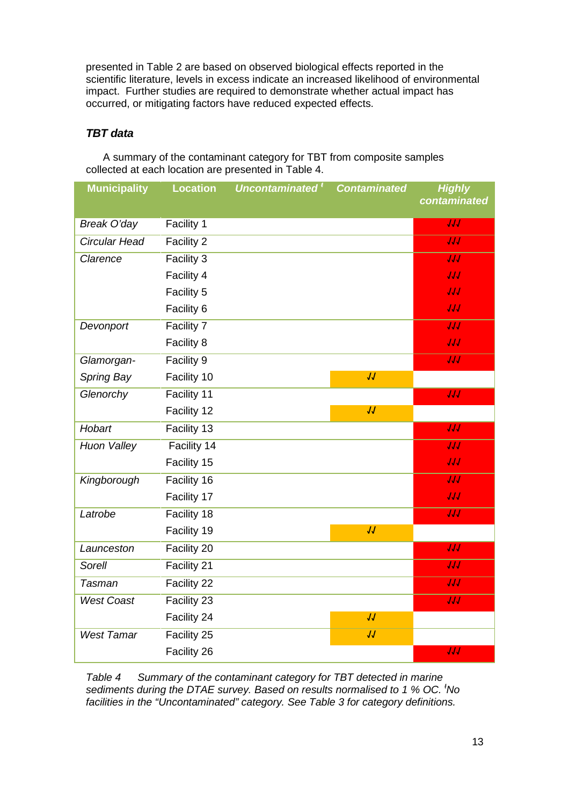presented in Table 2 are based on observed biological effects reported in the scientific literature, levels in excess indicate an increased likelihood of environmental impact. Further studies are required to demonstrate whether actual impact has occurred, or mitigating factors have reduced expected effects.

## *TBT data*

A summary of the contaminant category for TBT from composite samples collected at each location are presented in Table 4.

| <b>Municipality</b> | <b>Location</b> | Uncontaminated <sup>t</sup> | <b>Contaminated</b> | <b>Highly</b>    |
|---------------------|-----------------|-----------------------------|---------------------|------------------|
|                     |                 |                             |                     | contaminated     |
| Break O'day         | Facility 1      |                             |                     | JJJ              |
| Circular Head       | Facility 2      |                             |                     | $\overline{JJ}$  |
| Clarence            | Facility 3      |                             |                     | JJJ              |
|                     | Facility 4      |                             |                     | JJJ              |
|                     | Facility 5      |                             |                     | JJJ              |
|                     | Facility 6      |                             |                     | JJJ              |
| Devonport           | Facility 7      |                             |                     | $\overline{JJJ}$ |
|                     | Facility 8      |                             |                     | JJJ              |
| Glamorgan-          | Facility 9      |                             |                     | $\overline{JJJ}$ |
| Spring Bay          | Facility 10     |                             | JJ                  |                  |
| Glenorchy           | Facility 11     |                             |                     | JJJ              |
|                     | Facility 12     |                             | JJ                  |                  |
| Hobart              | Facility 13     |                             |                     | $\overline{JJJ}$ |
| <b>Huon Valley</b>  | Facility 14     |                             |                     | $\overline{JJ}$  |
|                     | Facility 15     |                             |                     | JJJ              |
| Kingborough         | Facility 16     |                             |                     | $\overline{JJJ}$ |
|                     | Facility 17     |                             |                     | JJJ              |
| Latrobe             | Facility 18     |                             |                     | JJJ              |
|                     | Facility 19     |                             | JJ                  |                  |
| Launceston          | Facility 20     |                             |                     | JJJ              |
| Sorell              | Facility 21     |                             |                     | $\overline{JJJ}$ |
| <b>Tasman</b>       | Facility 22     |                             |                     | $\overline{JJ}$  |
| <b>West Coast</b>   | Facility 23     |                             |                     | JJJ              |
|                     | Facility 24     |                             | JJ                  |                  |
| <b>West Tamar</b>   | Facility 25     |                             | JJ                  |                  |
|                     | Facility 26     |                             |                     | JJJ              |

*Table 4 Summary of the contaminant category for TBT detected in marine sediments during the DTAE survey. Based on results normalised to 1 % OC. <sup>ŧ</sup>No facilities in the "Uncontaminated" category. See Table 3 for category definitions.*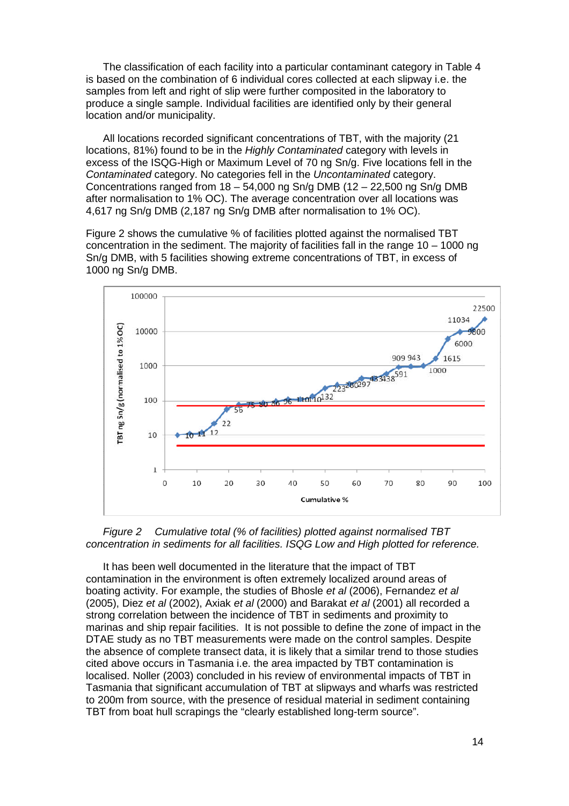The classification of each facility into a particular contaminant category in Table 4 is based on the combination of 6 individual cores collected at each slipway i.e. the samples from left and right of slip were further composited in the laboratory to produce a single sample. Individual facilities are identified only by their general location and/or municipality.

All locations recorded significant concentrations of TBT, with the majority (21 locations, 81%) found to be in the *Highly Contaminated* category with levels in excess of the ISQG-High or Maximum Level of 70 ng Sn/g. Five locations fell in the *Contaminated* category. No categories fell in the *Uncontaminated* category. Concentrations ranged from  $18 - 54,000$  ng Sn/g DMB ( $12 - 22,500$  ng Sn/g DMB after normalisation to 1% OC). The average concentration over all locations was 4,617 ng Sn/g DMB (2,187 ng Sn/g DMB after normalisation to 1% OC).

Figure 2 shows the cumulative % of facilities plotted against the normalised TBT concentration in the sediment. The majority of facilities fall in the range 10 – 1000 ng Sn/g DMB, with 5 facilities showing extreme concentrations of TBT, in excess of 1000 ng Sn/g DMB.





It has been well documented in the literature that the impact of TBT contamination in the environment is often extremely localized around areas of boating activity. For example, the studies of Bhosle *et al* (2006), Fernandez *et al* (2005), Diez *et al* (2002), Axiak *et al* (2000) and Barakat *et al* (2001) all recorded a strong correlation between the incidence of TBT in sediments and proximity to marinas and ship repair facilities. It is not possible to define the zone of impact in the DTAE study as no TBT measurements were made on the control samples. Despite the absence of complete transect data, it is likely that a similar trend to those studies cited above occurs in Tasmania i.e. the area impacted by TBT contamination is localised. Noller (2003) concluded in his review of environmental impacts of TBT in Tasmania that significant accumulation of TBT at slipways and wharfs was restricted to 200m from source, with the presence of residual material in sediment containing TBT from boat hull scrapings the "clearly established long-term source".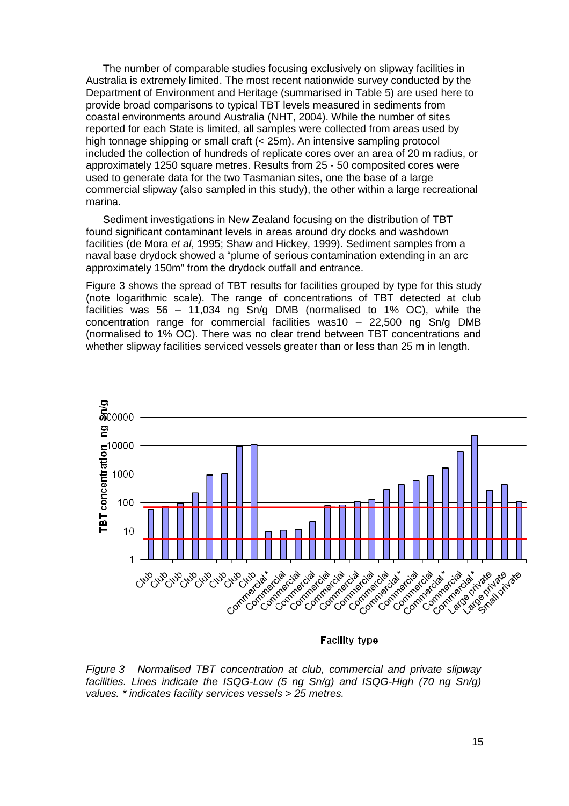The number of comparable studies focusing exclusively on slipway facilities in Australia is extremely limited. The most recent nationwide survey conducted by the Department of Environment and Heritage (summarised in Table 5) are used here to provide broad comparisons to typical TBT levels measured in sediments from coastal environments around Australia (NHT, 2004). While the number of sites reported for each State is limited, all samples were collected from areas used by high tonnage shipping or small craft (< 25m). An intensive sampling protocol included the collection of hundreds of replicate cores over an area of 20 m radius, or approximately 1250 square metres. Results from 25 - 50 composited cores were used to generate data for the two Tasmanian sites, one the base of a large commercial slipway (also sampled in this study), the other within a large recreational marina.

Sediment investigations in New Zealand focusing on the distribution of TBT found significant contaminant levels in areas around dry docks and washdown facilities (de Mora *et al*, 1995; Shaw and Hickey, 1999). Sediment samples from a naval base drydock showed a "plume of serious contamination extending in an arc approximately 150m" from the drydock outfall and entrance.

Figure 3 shows the spread of TBT results for facilities grouped by type for this study (note logarithmic scale). The range of concentrations of TBT detected at club facilities was 56 – 11,034 ng Sn/g DMB (normalised to 1% OC), while the concentration range for commercial facilities was10 – 22,500 ng Sn/g DMB (normalised to 1% OC). There was no clear trend between TBT concentrations and whether slipway facilities serviced vessels greater than or less than 25 m in length.



**Facility type** 

*Figure 3 Normalised TBT concentration at club, commercial and private slipway facilities. Lines indicate the ISQG-Low (5 ng Sn/g) and ISQG-High (70 ng Sn/g) values. \* indicates facility services vessels > 25 metres.*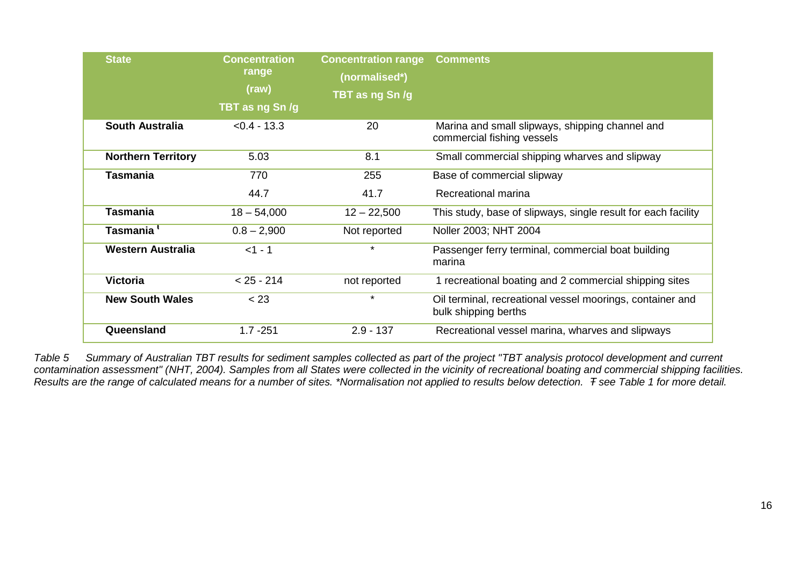| <b>State</b>              | <b>Concentration</b><br>range<br>(raw)<br>TBT as ng Sn /g | <b>Concentration range</b><br>(normalised*)<br>TBT as ng Sn/g | <b>Comments</b>                                                                   |
|---------------------------|-----------------------------------------------------------|---------------------------------------------------------------|-----------------------------------------------------------------------------------|
| <b>South Australia</b>    | $< 0.4 - 13.3$                                            | 20                                                            | Marina and small slipways, shipping channel and<br>commercial fishing vessels     |
| <b>Northern Territory</b> | 5.03                                                      | 8.1                                                           | Small commercial shipping wharves and slipway                                     |
| <b>Tasmania</b>           | 770                                                       | 255                                                           | Base of commercial slipway                                                        |
|                           | 44.7                                                      | 41.7                                                          | Recreational marina                                                               |
| <b>Tasmania</b>           | $18 - 54,000$                                             | $12 - 22,500$                                                 | This study, base of slipways, single result for each facility                     |
| Tasmania <sup>t</sup>     | $0.8 - 2,900$                                             | Not reported                                                  | Noller 2003; NHT 2004                                                             |
| <b>Western Australia</b>  | $<1 - 1$                                                  | $\star$                                                       | Passenger ferry terminal, commercial boat building<br>marina                      |
| <b>Victoria</b>           | $< 25 - 214$                                              | not reported                                                  | 1 recreational boating and 2 commercial shipping sites                            |
| <b>New South Wales</b>    | < 23                                                      | $\star$                                                       | Oil terminal, recreational vessel moorings, container and<br>bulk shipping berths |
| Queensland                | $1.7 - 251$                                               | $2.9 - 137$                                                   | Recreational vessel marina, wharves and slipways                                  |

*Table 5 Summary of Australian TBT results for sediment samples collected as part of the project "TBT analysis protocol development and current contamination assessment" (NHT, 2004). Samples from all States were collected in the vicinity of recreational boating and commercial shipping facilities. Results are the range of calculated means for a number of sites. \*Normalisation not applied to results below detection. Ŧ see Table 1 for more detail.*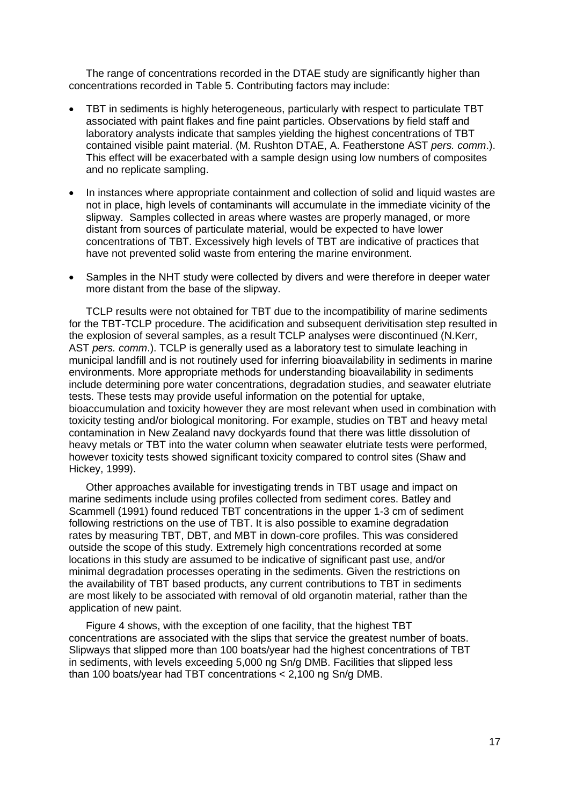The range of concentrations recorded in the DTAE study are significantly higher than concentrations recorded in Table 5. Contributing factors may include:

- TBT in sediments is highly heterogeneous, particularly with respect to particulate TBT associated with paint flakes and fine paint particles. Observations by field staff and laboratory analysts indicate that samples yielding the highest concentrations of TBT contained visible paint material. (M. Rushton DTAE, A. Featherstone AST *pers. comm*.). This effect will be exacerbated with a sample design using low numbers of composites and no replicate sampling.
- In instances where appropriate containment and collection of solid and liquid wastes are not in place, high levels of contaminants will accumulate in the immediate vicinity of the slipway. Samples collected in areas where wastes are properly managed, or more distant from sources of particulate material, would be expected to have lower concentrations of TBT. Excessively high levels of TBT are indicative of practices that have not prevented solid waste from entering the marine environment.
- Samples in the NHT study were collected by divers and were therefore in deeper water more distant from the base of the slipway.

TCLP results were not obtained for TBT due to the incompatibility of marine sediments for the TBT-TCLP procedure. The acidification and subsequent derivitisation step resulted in the explosion of several samples, as a result TCLP analyses were discontinued (N.Kerr, AST *pers. comm*.). TCLP is generally used as a laboratory test to simulate leaching in municipal landfill and is not routinely used for inferring bioavailability in sediments in marine environments. More appropriate methods for understanding bioavailability in sediments include determining pore water concentrations, degradation studies, and seawater elutriate tests. These tests may provide useful information on the potential for uptake, bioaccumulation and toxicity however they are most relevant when used in combination with toxicity testing and/or biological monitoring. For example, studies on TBT and heavy metal contamination in New Zealand navy dockyards found that there was little dissolution of heavy metals or TBT into the water column when seawater elutriate tests were performed, however toxicity tests showed significant toxicity compared to control sites (Shaw and Hickey, 1999).

Other approaches available for investigating trends in TBT usage and impact on marine sediments include using profiles collected from sediment cores. Batley and Scammell (1991) found reduced TBT concentrations in the upper 1-3 cm of sediment following restrictions on the use of TBT. It is also possible to examine degradation rates by measuring TBT, DBT, and MBT in down-core profiles. This was considered outside the scope of this study. Extremely high concentrations recorded at some locations in this study are assumed to be indicative of significant past use, and/or minimal degradation processes operating in the sediments. Given the restrictions on the availability of TBT based products, any current contributions to TBT in sediments are most likely to be associated with removal of old organotin material, rather than the application of new paint.

Figure 4 shows, with the exception of one facility, that the highest TBT concentrations are associated with the slips that service the greatest number of boats. Slipways that slipped more than 100 boats/year had the highest concentrations of TBT in sediments, with levels exceeding 5,000 ng Sn/g DMB. Facilities that slipped less than 100 boats/year had TBT concentrations < 2,100 ng Sn/g DMB.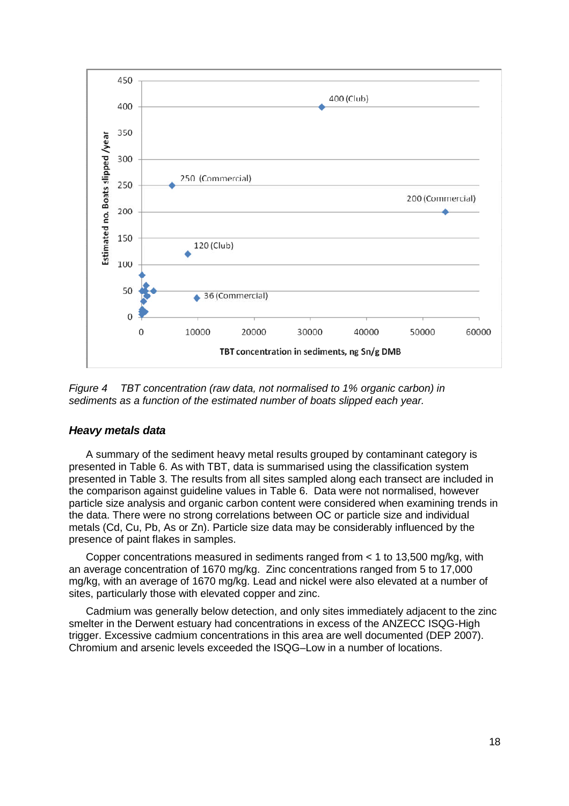

*Figure 4 TBT concentration (raw data, not normalised to 1% organic carbon) in sediments as a function of the estimated number of boats slipped each year.*

### *Heavy metals data*

A summary of the sediment heavy metal results grouped by contaminant category is presented in Table 6. As with TBT, data is summarised using the classification system presented in Table 3. The results from all sites sampled along each transect are included in the comparison against guideline values in Table 6. Data were not normalised, however particle size analysis and organic carbon content were considered when examining trends in the data. There were no strong correlations between OC or particle size and individual metals (Cd, Cu, Pb, As or Zn). Particle size data may be considerably influenced by the presence of paint flakes in samples.

Copper concentrations measured in sediments ranged from < 1 to 13,500 mg/kg, with an average concentration of 1670 mg/kg. Zinc concentrations ranged from 5 to 17,000 mg/kg, with an average of 1670 mg/kg. Lead and nickel were also elevated at a number of sites, particularly those with elevated copper and zinc.

Cadmium was generally below detection, and only sites immediately adjacent to the zinc smelter in the Derwent estuary had concentrations in excess of the ANZECC ISQG-High trigger. Excessive cadmium concentrations in this area are well documented (DEP 2007). Chromium and arsenic levels exceeded the ISQG–Low in a number of locations.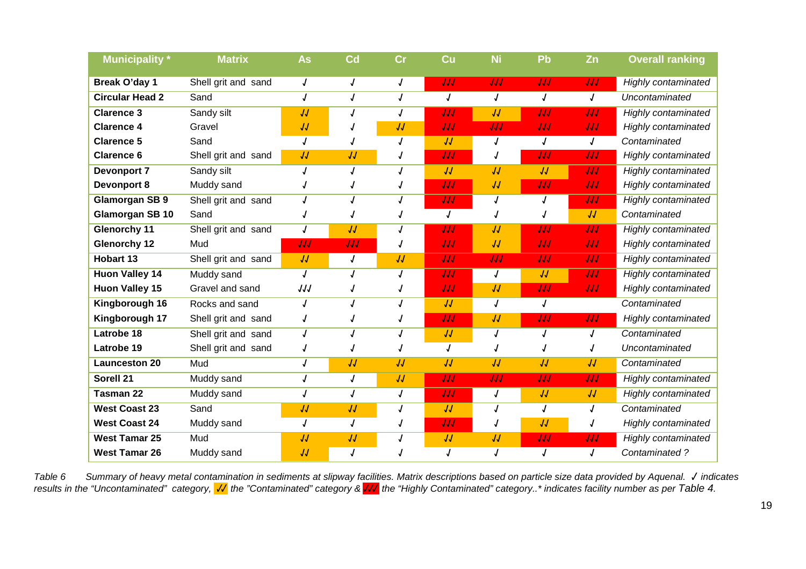| <b>Municipality</b> *  | <b>Matrix</b>       | As                       | Cd         | $\overline{\text{Cr}}$ | Cu         | <b>Ni</b>  | Pb  | Zn                       | <b>Overall ranking</b>     |
|------------------------|---------------------|--------------------------|------------|------------------------|------------|------------|-----|--------------------------|----------------------------|
| Break O'day 1          | Shell grit and sand | J                        |            | J                      | JJJ        | JJJ        | IJJ | JJJ                      | Highly contaminated        |
| <b>Circular Head 2</b> | Sand                | $\boldsymbol{J}$         | J          | J                      | $\sqrt{2}$ | J          | J   | J                        | Uncontaminated             |
| <b>Clarence 3</b>      | Sandy silt          | $\overline{\mathcal{U}}$ |            | J                      | JJJ        | JJ         | JJJ | JJJ                      | <b>Highly contaminated</b> |
| <b>Clarence 4</b>      | Gravel              | JJ                       |            | JJ                     | JJJ        | JJJ        | JJJ | JJJ                      | <b>Highly contaminated</b> |
| <b>Clarence 5</b>      | Sand                |                          |            |                        | JJ         | J          | 1   | $\sqrt{ }$               | Contaminated               |
| <b>Clarence 6</b>      | Shell grit and sand | JJ                       | IJ         |                        | JJJ        | J          | IJJ | JJJ                      | <b>Highly contaminated</b> |
| <b>Devonport 7</b>     | Sandy silt          |                          | J          | J                      | $\sqrt{2}$ | JJ         | IJ  | JJJ                      | Highly contaminated        |
| <b>Devonport 8</b>     | Muddy sand          |                          |            |                        | JJJ        | JJ         | JJJ | JJJ                      | Highly contaminated        |
| <b>Glamorgan SB 9</b>  | Shell grit and sand |                          |            |                        | JJJ        | J          | J   | JJJ                      | <b>Highly contaminated</b> |
| Glamorgan SB 10        | Sand                |                          |            |                        | $\sqrt{2}$ |            |     | JJ                       | Contaminated               |
| <b>Glenorchy 11</b>    | Shell grit and sand | J                        | JJ         |                        | JJJ        | JJ         | JJJ | JJJ                      | <b>Highly contaminated</b> |
| <b>Glenorchy 12</b>    | Mud                 | JJJ                      | JJJ        | J                      | JJJ        | JJ         | JJJ | JJJ                      | Highly contaminated        |
| <b>Hobart 13</b>       | Shell grit and sand | JJ                       | $\sqrt{ }$ | JJ                     | JJJ        | JJJ        | IJJ | JJJ                      | <b>Highly contaminated</b> |
| <b>Huon Valley 14</b>  | Muddy sand          | J                        | J          | J                      | JJJ        | $\sqrt{2}$ | JJ  | JJJ                      | <b>Highly contaminated</b> |
| <b>Huon Valley 15</b>  | Gravel and sand     | IJJ                      |            |                        | JJJ        | JJ         | JJJ | JJJ                      | <b>Highly contaminated</b> |
| Kingborough 16         | Rocks and sand      |                          |            |                        | $\sqrt{2}$ | J          | 1   |                          | Contaminated               |
| Kingborough 17         | Shell grit and sand |                          |            |                        | JJJ        | JJ         | JJJ | JJJ                      | <b>Highly contaminated</b> |
| Latrobe 18             | Shell grit and sand | J                        |            |                        | JJ         | J          | J   | J                        | Contaminated               |
| Latrobe 19             | Shell grit and sand |                          |            |                        | J          |            |     |                          | Uncontaminated             |
| <b>Launceston 20</b>   | Mud                 | J                        | JJ         | $\overline{U}$         | $\sqrt{2}$ | JJ         | JJ  | $\overline{\mathcal{U}}$ | Contaminated               |
| Sorell 21              | Muddy sand          | $\overline{J}$           | J          | JJ                     | JJJ        | JJJ        | JJJ | JJJ                      | <b>Highly contaminated</b> |
| <b>Tasman 22</b>       | Muddy sand          | J                        | J          | J                      | JJJ        | J          | JJ  | JJ                       | <b>Highly contaminated</b> |
| <b>West Coast 23</b>   | Sand                | $\overline{\mathsf{U}}$  | JJ         | J                      | $\sqrt{2}$ | J          | J   | J                        | Contaminated               |
| <b>West Coast 24</b>   | Muddy sand          | $\sqrt{ }$               | J          |                        | JJJ        | J          | JJ  | J                        | <b>Highly contaminated</b> |
| <b>West Tamar 25</b>   | Mud                 | JJ                       | JJ         |                        | JJ         | JJ         | JJJ | JJJ                      | <b>Highly contaminated</b> |
| <b>West Tamar 26</b>   | Muddy sand          | JJ                       | J          |                        |            | J          | J   | $\sqrt{ }$               | Contaminated?              |

*Table 6 Summary of heavy metal contamination in sediments at slipway facilities. Matrix descriptions based on particle size data provided by Aquenal.* **√** *indicates* results in the "Uncontaminated" category, <mark>√∕</mark> the "Contaminated" category & <mark>√√</mark> the "Highly Contaminated" category..\* indicates facility number as per Table 4.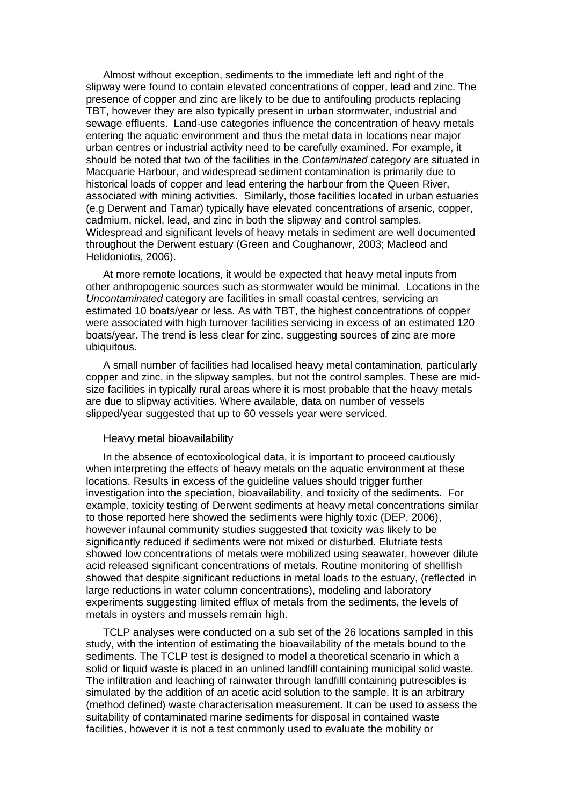Almost without exception, sediments to the immediate left and right of the slipway were found to contain elevated concentrations of copper, lead and zinc. The presence of copper and zinc are likely to be due to antifouling products replacing TBT, however they are also typically present in urban stormwater, industrial and sewage effluents. Land-use categories influence the concentration of heavy metals entering the aquatic environment and thus the metal data in locations near major urban centres or industrial activity need to be carefully examined. For example, it should be noted that two of the facilities in the *Contaminated* category are situated in Macquarie Harbour, and widespread sediment contamination is primarily due to historical loads of copper and lead entering the harbour from the Queen River, associated with mining activities. Similarly, those facilities located in urban estuaries (e.g Derwent and Tamar) typically have elevated concentrations of arsenic, copper, cadmium, nickel, lead, and zinc in both the slipway and control samples. Widespread and significant levels of heavy metals in sediment are well documented throughout the Derwent estuary (Green and Coughanowr, 2003; Macleod and Helidoniotis, 2006).

At more remote locations, it would be expected that heavy metal inputs from other anthropogenic sources such as stormwater would be minimal. Locations in the *Uncontaminated* category are facilities in small coastal centres, servicing an estimated 10 boats/year or less. As with TBT, the highest concentrations of copper were associated with high turnover facilities servicing in excess of an estimated 120 boats/year. The trend is less clear for zinc, suggesting sources of zinc are more ubiquitous.

A small number of facilities had localised heavy metal contamination, particularly copper and zinc, in the slipway samples, but not the control samples. These are midsize facilities in typically rural areas where it is most probable that the heavy metals are due to slipway activities. Where available, data on number of vessels slipped/year suggested that up to 60 vessels year were serviced.

#### Heavy metal bioavailability

In the absence of ecotoxicological data, it is important to proceed cautiously when interpreting the effects of heavy metals on the aquatic environment at these locations. Results in excess of the guideline values should trigger further investigation into the speciation, bioavailability, and toxicity of the sediments. For example, toxicity testing of Derwent sediments at heavy metal concentrations similar to those reported here showed the sediments were highly toxic (DEP, 2006), however infaunal community studies suggested that toxicity was likely to be significantly reduced if sediments were not mixed or disturbed. Elutriate tests showed low concentrations of metals were mobilized using seawater, however dilute acid released significant concentrations of metals. Routine monitoring of shellfish showed that despite significant reductions in metal loads to the estuary, (reflected in large reductions in water column concentrations), modeling and laboratory experiments suggesting limited efflux of metals from the sediments, the levels of metals in oysters and mussels remain high.

TCLP analyses were conducted on a sub set of the 26 locations sampled in this study, with the intention of estimating the bioavailability of the metals bound to the sediments. The TCLP test is designed to model a theoretical scenario in which a solid or liquid waste is placed in an unlined landfill containing municipal solid waste. The infiltration and leaching of rainwater through landfilll containing putrescibles is simulated by the addition of an acetic acid solution to the sample. It is an arbitrary (method defined) waste characterisation measurement. It can be used to assess the suitability of contaminated marine sediments for disposal in contained waste facilities, however it is not a test commonly used to evaluate the mobility or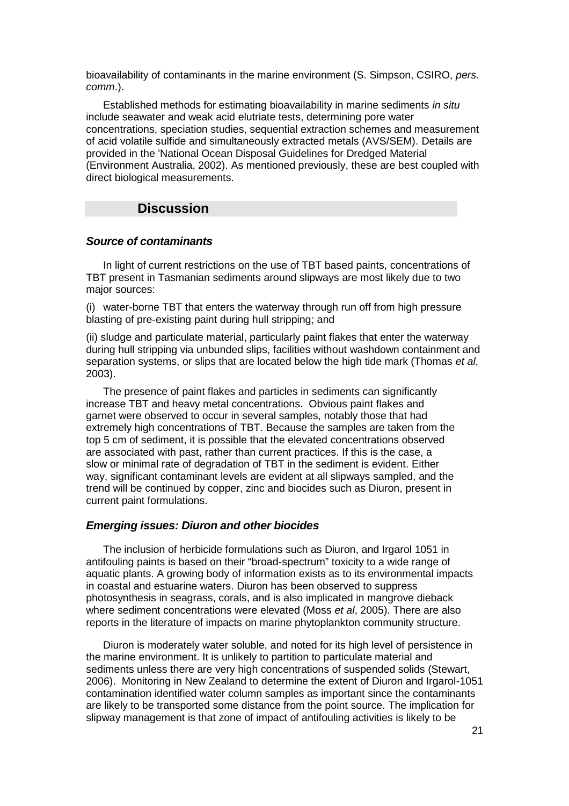bioavailability of contaminants in the marine environment (S. Simpson, CSIRO, *pers. comm*.).

Established methods for estimating bioavailability in marine sediments *in situ* include seawater and weak acid elutriate tests, determining pore water concentrations, speciation studies, sequential extraction schemes and measurement of acid volatile sulfide and simultaneously extracted metals (AVS/SEM). Details are provided in the 'National Ocean Disposal Guidelines for Dredged Material (Environment Australia, 2002). As mentioned previously, these are best coupled with direct biological measurements.

## **Discussion**

#### *Source of contaminants*

In light of current restrictions on the use of TBT based paints, concentrations of TBT present in Tasmanian sediments around slipways are most likely due to two major sources:

(i) water-borne TBT that enters the waterway through run off from high pressure blasting of pre-existing paint during hull stripping; and

(ii) sludge and particulate material, particularly paint flakes that enter the waterway during hull stripping via unbunded slips, facilities without washdown containment and separation systems, or slips that are located below the high tide mark (Thomas *et al*, 2003).

The presence of paint flakes and particles in sediments can significantly increase TBT and heavy metal concentrations. Obvious paint flakes and garnet were observed to occur in several samples, notably those that had extremely high concentrations of TBT. Because the samples are taken from the top 5 cm of sediment, it is possible that the elevated concentrations observed are associated with past, rather than current practices. If this is the case, a slow or minimal rate of degradation of TBT in the sediment is evident. Either way, significant contaminant levels are evident at all slipways sampled, and the trend will be continued by copper, zinc and biocides such as Diuron, present in current paint formulations.

#### *Emerging issues: Diuron and other biocides*

The inclusion of herbicide formulations such as Diuron, and Irgarol 1051 in antifouling paints is based on their "broad-spectrum" toxicity to a wide range of aquatic plants. A growing body of information exists as to its environmental impacts in coastal and estuarine waters. Diuron has been observed to suppress photosynthesis in seagrass, corals, and is also implicated in mangrove dieback where sediment concentrations were elevated (Moss *et al*, 2005). There are also reports in the literature of impacts on marine phytoplankton community structure.

Diuron is moderately water soluble, and noted for its high level of persistence in the marine environment. It is unlikely to partition to particulate material and sediments unless there are very high concentrations of suspended solids (Stewart, 2006). Monitoring in New Zealand to determine the extent of Diuron and Irgarol-1051 contamination identified water column samples as important since the contaminants are likely to be transported some distance from the point source. The implication for slipway management is that zone of impact of antifouling activities is likely to be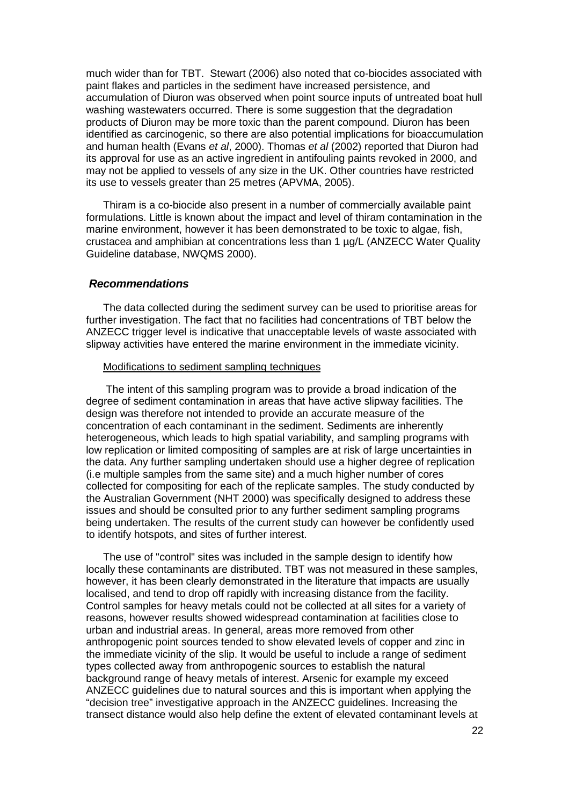much wider than for TBT. Stewart (2006) also noted that co-biocides associated with paint flakes and particles in the sediment have increased persistence, and accumulation of Diuron was observed when point source inputs of untreated boat hull washing wastewaters occurred. There is some suggestion that the degradation products of Diuron may be more toxic than the parent compound. Diuron has been identified as carcinogenic, so there are also potential implications for bioaccumulation and human health (Evans *et al*, 2000). Thomas *et al* (2002) reported that Diuron had its approval for use as an active ingredient in antifouling paints revoked in 2000, and may not be applied to vessels of any size in the UK. Other countries have restricted its use to vessels greater than 25 metres (APVMA, 2005).

Thiram is a co-biocide also present in a number of commercially available paint formulations. Little is known about the impact and level of thiram contamination in the marine environment, however it has been demonstrated to be toxic to algae, fish, crustacea and amphibian at concentrations less than 1 µg/L (ANZECC Water Quality Guideline database, NWQMS 2000).

#### *Recommendations*

The data collected during the sediment survey can be used to prioritise areas for further investigation. The fact that no facilities had concentrations of TBT below the ANZECC trigger level is indicative that unacceptable levels of waste associated with slipway activities have entered the marine environment in the immediate vicinity.

#### Modifications to sediment sampling techniques

The intent of this sampling program was to provide a broad indication of the degree of sediment contamination in areas that have active slipway facilities. The design was therefore not intended to provide an accurate measure of the concentration of each contaminant in the sediment. Sediments are inherently heterogeneous, which leads to high spatial variability, and sampling programs with low replication or limited compositing of samples are at risk of large uncertainties in the data. Any further sampling undertaken should use a higher degree of replication (i.e multiple samples from the same site) and a much higher number of cores collected for compositing for each of the replicate samples. The study conducted by the Australian Government (NHT 2000) was specifically designed to address these issues and should be consulted prior to any further sediment sampling programs being undertaken. The results of the current study can however be confidently used to identify hotspots, and sites of further interest.

The use of "control" sites was included in the sample design to identify how locally these contaminants are distributed. TBT was not measured in these samples, however, it has been clearly demonstrated in the literature that impacts are usually localised, and tend to drop off rapidly with increasing distance from the facility. Control samples for heavy metals could not be collected at all sites for a variety of reasons, however results showed widespread contamination at facilities close to urban and industrial areas. In general, areas more removed from other anthropogenic point sources tended to show elevated levels of copper and zinc in the immediate vicinity of the slip. It would be useful to include a range of sediment types collected away from anthropogenic sources to establish the natural background range of heavy metals of interest. Arsenic for example my exceed ANZECC guidelines due to natural sources and this is important when applying the "decision tree" investigative approach in the ANZECC guidelines. Increasing the transect distance would also help define the extent of elevated contaminant levels at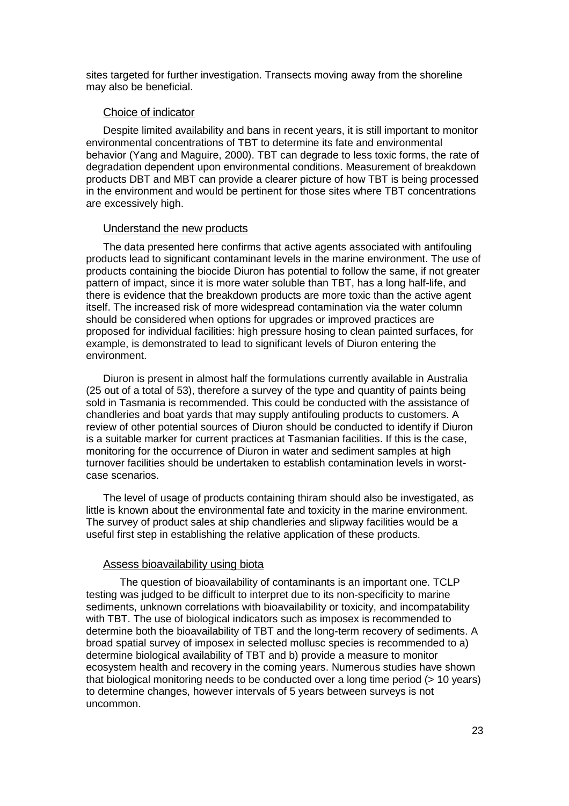sites targeted for further investigation. Transects moving away from the shoreline may also be beneficial.

#### Choice of indicator

Despite limited availability and bans in recent years, it is still important to monitor environmental concentrations of TBT to determine its fate and environmental behavior (Yang and Maguire, 2000). TBT can degrade to less toxic forms, the rate of degradation dependent upon environmental conditions. Measurement of breakdown products DBT and MBT can provide a clearer picture of how TBT is being processed in the environment and would be pertinent for those sites where TBT concentrations are excessively high.

#### Understand the new products

The data presented here confirms that active agents associated with antifouling products lead to significant contaminant levels in the marine environment. The use of products containing the biocide Diuron has potential to follow the same, if not greater pattern of impact, since it is more water soluble than TBT, has a long half-life, and there is evidence that the breakdown products are more toxic than the active agent itself. The increased risk of more widespread contamination via the water column should be considered when options for upgrades or improved practices are proposed for individual facilities: high pressure hosing to clean painted surfaces, for example, is demonstrated to lead to significant levels of Diuron entering the environment.

Diuron is present in almost half the formulations currently available in Australia (25 out of a total of 53), therefore a survey of the type and quantity of paints being sold in Tasmania is recommended. This could be conducted with the assistance of chandleries and boat yards that may supply antifouling products to customers. A review of other potential sources of Diuron should be conducted to identify if Diuron is a suitable marker for current practices at Tasmanian facilities. If this is the case, monitoring for the occurrence of Diuron in water and sediment samples at high turnover facilities should be undertaken to establish contamination levels in worstcase scenarios.

The level of usage of products containing thiram should also be investigated, as little is known about the environmental fate and toxicity in the marine environment. The survey of product sales at ship chandleries and slipway facilities would be a useful first step in establishing the relative application of these products.

### Assess bioavailability using biota

The question of bioavailability of contaminants is an important one. TCLP testing was judged to be difficult to interpret due to its non-specificity to marine sediments, unknown correlations with bioavailability or toxicity, and incompatability with TBT. The use of biological indicators such as imposex is recommended to determine both the bioavailability of TBT and the long-term recovery of sediments. A broad spatial survey of imposex in selected mollusc species is recommended to a) determine biological availability of TBT and b) provide a measure to monitor ecosystem health and recovery in the coming years. Numerous studies have shown that biological monitoring needs to be conducted over a long time period (> 10 years) to determine changes, however intervals of 5 years between surveys is not uncommon.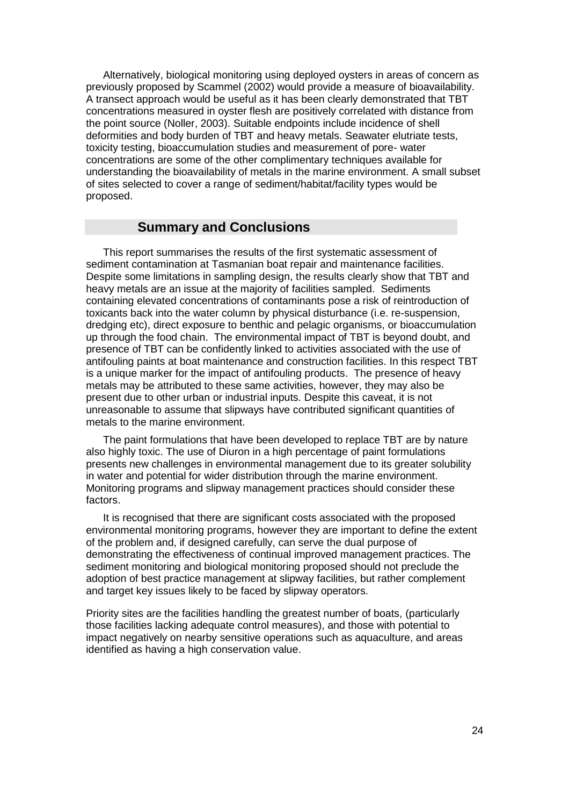Alternatively, biological monitoring using deployed oysters in areas of concern as previously proposed by Scammel (2002) would provide a measure of bioavailability. A transect approach would be useful as it has been clearly demonstrated that TBT concentrations measured in oyster flesh are positively correlated with distance from the point source (Noller, 2003). Suitable endpoints include incidence of shell deformities and body burden of TBT and heavy metals. Seawater elutriate tests, toxicity testing, bioaccumulation studies and measurement of pore- water concentrations are some of the other complimentary techniques available for understanding the bioavailability of metals in the marine environment. A small subset of sites selected to cover a range of sediment/habitat/facility types would be proposed.

## **Summary and Conclusions**

This report summarises the results of the first systematic assessment of sediment contamination at Tasmanian boat repair and maintenance facilities. Despite some limitations in sampling design, the results clearly show that TBT and heavy metals are an issue at the majority of facilities sampled. Sediments containing elevated concentrations of contaminants pose a risk of reintroduction of toxicants back into the water column by physical disturbance (i.e. re-suspension, dredging etc), direct exposure to benthic and pelagic organisms, or bioaccumulation up through the food chain. The environmental impact of TBT is beyond doubt, and presence of TBT can be confidently linked to activities associated with the use of antifouling paints at boat maintenance and construction facilities. In this respect TBT is a unique marker for the impact of antifouling products. The presence of heavy metals may be attributed to these same activities, however, they may also be present due to other urban or industrial inputs. Despite this caveat, it is not unreasonable to assume that slipways have contributed significant quantities of metals to the marine environment.

The paint formulations that have been developed to replace TBT are by nature also highly toxic. The use of Diuron in a high percentage of paint formulations presents new challenges in environmental management due to its greater solubility in water and potential for wider distribution through the marine environment. Monitoring programs and slipway management practices should consider these factors.

It is recognised that there are significant costs associated with the proposed environmental monitoring programs, however they are important to define the extent of the problem and, if designed carefully, can serve the dual purpose of demonstrating the effectiveness of continual improved management practices. The sediment monitoring and biological monitoring proposed should not preclude the adoption of best practice management at slipway facilities, but rather complement and target key issues likely to be faced by slipway operators.

Priority sites are the facilities handling the greatest number of boats, (particularly those facilities lacking adequate control measures), and those with potential to impact negatively on nearby sensitive operations such as aquaculture, and areas identified as having a high conservation value.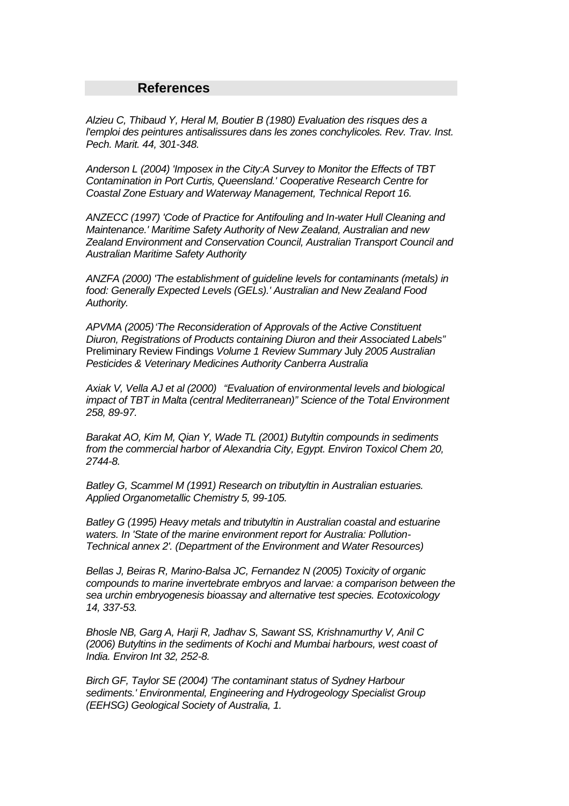## **References**

*Alzieu C, Thibaud Y, Heral M, Boutier B (1980) Evaluation des risques des a l'emploi des peintures antisalissures dans les zones conchylicoles. Rev. Trav. Inst. Pech. Marit. 44, 301-348.*

*Anderson L (2004) 'Imposex in the City:A Survey to Monitor the Effects of TBT Contamination in Port Curtis, Queensland.' Cooperative Research Centre for Coastal Zone Estuary and Waterway Management, Technical Report 16.*

*ANZECC (1997) 'Code of Practice for Antifouling and In-water Hull Cleaning and Maintenance.' Maritime Safety Authority of New Zealand, Australian and new Zealand Environment and Conservation Council, Australian Transport Council and Australian Maritime Safety Authority*

*ANZFA (2000) 'The establishment of guideline levels for contaminants (metals) in food: Generally Expected Levels (GELs).' Australian and New Zealand Food Authority.*

*APVMA (2005)'The Reconsideration of Approvals of the Active Constituent Diuron, Registrations of Products containing Diuron and their Associated Labels"* Preliminary Review Findings *Volume 1 Review Summary* July *2005 Australian Pesticides & Veterinary Medicines Authority Canberra Australia*

*Axiak V, Vella AJ et al (2000) "Evaluation of environmental levels and biological impact of TBT in Malta (central Mediterranean)" Science of the Total Environment 258, 89-97.*

*Barakat AO, Kim M, Qian Y, Wade TL (2001) Butyltin compounds in sediments from the commercial harbor of Alexandria City, Egypt. Environ Toxicol Chem 20, 2744-8.*

*Batley G, Scammel M (1991) Research on tributyltin in Australian estuaries. Applied Organometallic Chemistry 5, 99-105.*

*Batley G (1995) Heavy metals and tributyltin in Australian coastal and estuarine waters. In 'State of the marine environment report for Australia: Pollution-Technical annex 2'. (Department of the Environment and Water Resources)*

*Bellas J, Beiras R, Marino-Balsa JC, Fernandez N (2005) Toxicity of organic compounds to marine invertebrate embryos and larvae: a comparison between the sea urchin embryogenesis bioassay and alternative test species. Ecotoxicology 14, 337-53.*

*Bhosle NB, Garg A, Harji R, Jadhav S, Sawant SS, Krishnamurthy V, Anil C (2006) Butyltins in the sediments of Kochi and Mumbai harbours, west coast of India. Environ Int 32, 252-8.*

*Birch GF, Taylor SE (2004) 'The contaminant status of Sydney Harbour sediments.' Environmental, Engineering and Hydrogeology Specialist Group (EEHSG) Geological Society of Australia, 1.*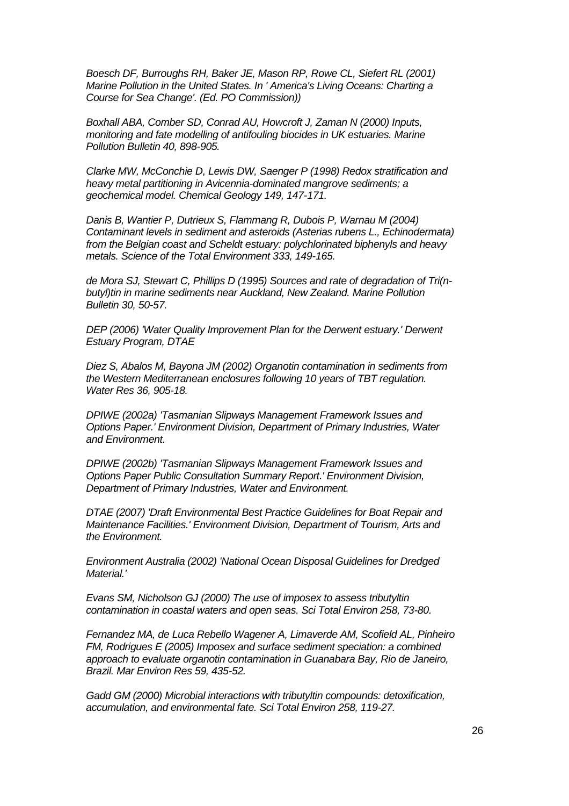*Boesch DF, Burroughs RH, Baker JE, Mason RP, Rowe CL, Siefert RL (2001) Marine Pollution in the United States. In ' America's Living Oceans: Charting a Course for Sea Change'. (Ed. PO Commission))*

*Boxhall ABA, Comber SD, Conrad AU, Howcroft J, Zaman N (2000) Inputs, monitoring and fate modelling of antifouling biocides in UK estuaries. Marine Pollution Bulletin 40, 898-905.*

*Clarke MW, McConchie D, Lewis DW, Saenger P (1998) Redox stratification and heavy metal partitioning in Avicennia-dominated mangrove sediments; a geochemical model. Chemical Geology 149, 147-171.*

*Danis B, Wantier P, Dutrieux S, Flammang R, Dubois P, Warnau M (2004) Contaminant levels in sediment and asteroids (Asterias rubens L., Echinodermata) from the Belgian coast and Scheldt estuary: polychlorinated biphenyls and heavy metals. Science of the Total Environment 333, 149-165.*

*de Mora SJ, Stewart C, Phillips D (1995) Sources and rate of degradation of Tri(nbutyl)tin in marine sediments near Auckland, New Zealand. Marine Pollution Bulletin 30, 50-57.*

*DEP (2006) 'Water Quality Improvement Plan for the Derwent estuary.' Derwent Estuary Program, DTAE*

*Diez S, Abalos M, Bayona JM (2002) Organotin contamination in sediments from the Western Mediterranean enclosures following 10 years of TBT regulation. Water Res 36, 905-18.*

*DPIWE (2002a) 'Tasmanian Slipways Management Framework Issues and Options Paper.' Environment Division, Department of Primary Industries, Water and Environment.*

*DPIWE (2002b) 'Tasmanian Slipways Management Framework Issues and Options Paper Public Consultation Summary Report.' Environment Division, Department of Primary Industries, Water and Environment.*

*DTAE (2007) 'Draft Environmental Best Practice Guidelines for Boat Repair and Maintenance Facilities.' Environment Division, Department of Tourism, Arts and the Environment.*

*Environment Australia (2002) 'National Ocean Disposal Guidelines for Dredged Material.'*

*Evans SM, Nicholson GJ (2000) The use of imposex to assess tributyltin contamination in coastal waters and open seas. Sci Total Environ 258, 73-80.*

*Fernandez MA, de Luca Rebello Wagener A, Limaverde AM, Scofield AL, Pinheiro FM, Rodrigues E (2005) Imposex and surface sediment speciation: a combined approach to evaluate organotin contamination in Guanabara Bay, Rio de Janeiro, Brazil. Mar Environ Res 59, 435-52.*

*Gadd GM (2000) Microbial interactions with tributyltin compounds: detoxification, accumulation, and environmental fate. Sci Total Environ 258, 119-27.*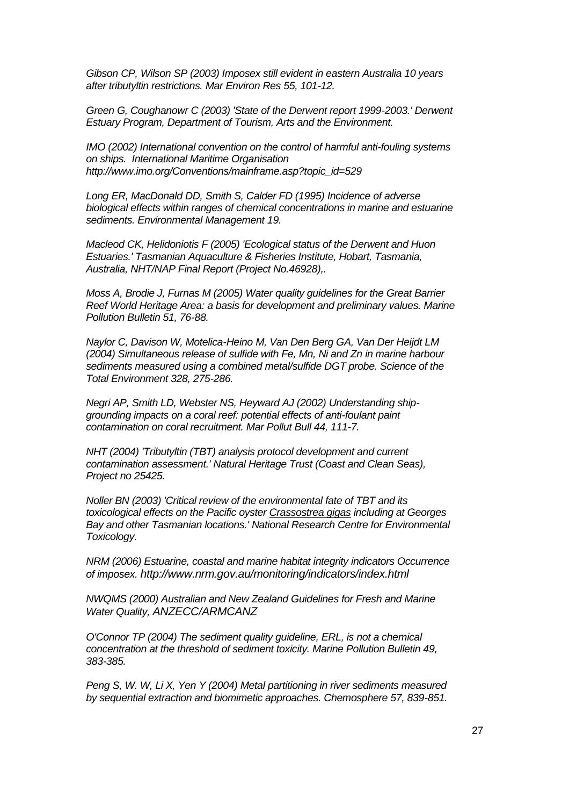*Gibson CP, Wilson SP (2003) Imposex still evident in eastern Australia 10 years after tributyltin restrictions. Mar Environ Res 55, 101-12.*

*Green G, Coughanowr C (2003) 'State of the Derwent report 1999-2003.' Derwent Estuary Program, Department of Tourism, Arts and the Environment.*

*IMO (2002) International convention on the control of harmful anti-fouling systems on ships. International Maritime Organisation http://www.imo.org/Conventions/mainframe.asp?topic\_id=529*

*Long ER, MacDonald DD, Smith S, Calder FD (1995) Incidence of adverse biological effects within ranges of chemical concentrations in marine and estuarine sediments. Environmental Management 19.*

*Macleod CK, Helidoniotis F (2005) 'Ecological status of the Derwent and Huon Estuaries.' Tasmanian Aquaculture & Fisheries Institute, Hobart, Tasmania, Australia, NHT/NAP Final Report (Project No.46928),.*

*Moss A, Brodie J, Furnas M (2005) Water quality guidelines for the Great Barrier Reef World Heritage Area: a basis for development and preliminary values. Marine Pollution Bulletin 51, 76-88.*

*Naylor C, Davison W, Motelica-Heino M, Van Den Berg GA, Van Der Heijdt LM (2004) Simultaneous release of sulfide with Fe, Mn, Ni and Zn in marine harbour sediments measured using a combined metal/sulfide DGT probe. Science of the Total Environment 328, 275-286.*

*Negri AP, Smith LD, Webster NS, Heyward AJ (2002) Understanding shipgrounding impacts on a coral reef: potential effects of anti-foulant paint contamination on coral recruitment. Mar Pollut Bull 44, 111-7.*

*NHT (2004) 'Tributyltin (TBT) analysis protocol development and current contamination assessment.' Natural Heritage Trust (Coast and Clean Seas), Project no 25425.*

*Noller BN (2003) 'Critical review of the environmental fate of TBT and its toxicological effects on the Pacific oyster Crassostrea gigas including at Georges Bay and other Tasmanian locations.' National Research Centre for Environmental Toxicology.*

*NRM (2006) Estuarine, coastal and marine habitat integrity indicators Occurrence of imposex. http://www.nrm.gov.au/monitoring/indicators/index.html*

*NWQMS (2000) Australian and New Zealand Guidelines for Fresh and Marine Water Quality, ANZECC/ARMCANZ*

*O'Connor TP (2004) The sediment quality guideline, ERL, is not a chemical concentration at the threshold of sediment toxicity. Marine Pollution Bulletin 49, 383-385.*

*Peng S, W. W, Li X, Yen Y (2004) Metal partitioning in river sediments measured by sequential extraction and biomimetic approaches. Chemosphere 57, 839-851.*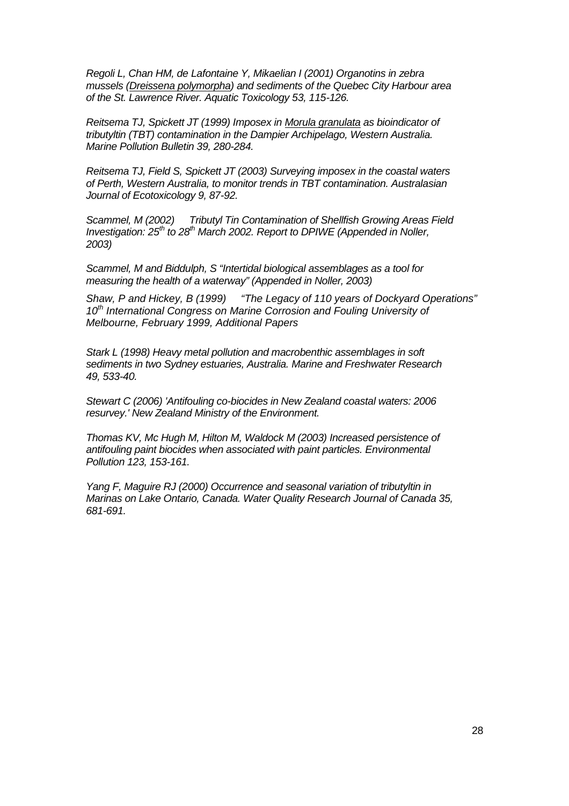*Regoli L, Chan HM, de Lafontaine Y, Mikaelian I (2001) Organotins in zebra mussels (Dreissena polymorpha) and sediments of the Quebec City Harbour area of the St. Lawrence River. Aquatic Toxicology 53, 115-126.*

*Reitsema TJ, Spickett JT (1999) Imposex in Morula granulata as bioindicator of tributyltin (TBT) contamination in the Dampier Archipelago, Western Australia. Marine Pollution Bulletin 39, 280-284.*

*Reitsema TJ, Field S, Spickett JT (2003) Surveying imposex in the coastal waters of Perth, Western Australia, to monitor trends in TBT contamination. Australasian Journal of Ecotoxicology 9, 87-92.*

*Scammel, M (2002) Tributyl Tin Contamination of Shellfish Growing Areas Field Investigation: 25th to 28th March 2002. Report to DPIWE (Appended in Noller, 2003)*

*Scammel, M and Biddulph, S "Intertidal biological assemblages as a tool for measuring the health of a waterway" (Appended in Noller, 2003)*

*Shaw, P and Hickey, B (1999) "The Legacy of 110 years of Dockyard Operations" 10th International Congress on Marine Corrosion and Fouling University of Melbourne, February 1999, Additional Papers*

*Stark L (1998) Heavy metal pollution and macrobenthic assemblages in soft sediments in two Sydney estuaries, Australia. Marine and Freshwater Research 49, 533-40.*

*Stewart C (2006) 'Antifouling co-biocides in New Zealand coastal waters: 2006 resurvey.' New Zealand Ministry of the Environment.*

*Thomas KV, Mc Hugh M, Hilton M, Waldock M (2003) Increased persistence of antifouling paint biocides when associated with paint particles. Environmental Pollution 123, 153-161.*

*Yang F, Maguire RJ (2000) Occurrence and seasonal variation of tributyltin in Marinas on Lake Ontario, Canada. Water Quality Research Journal of Canada 35, 681-691.*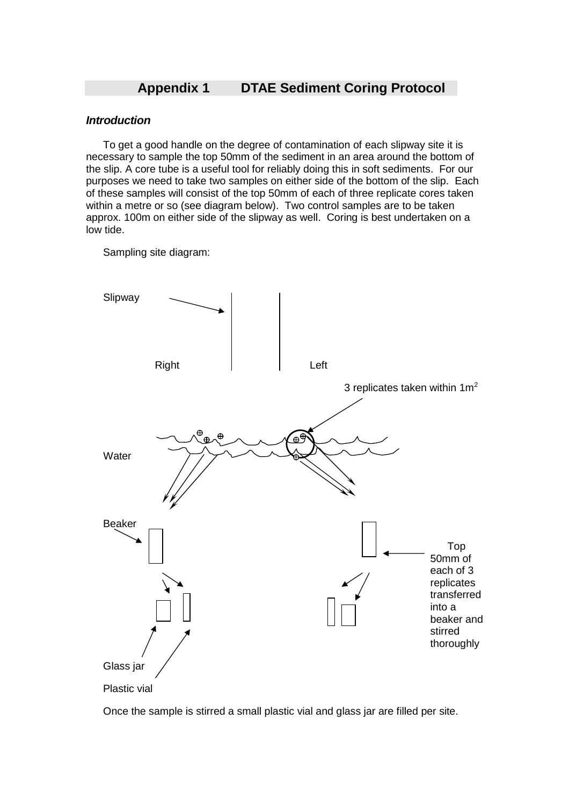## **Appendix 1 DTAE Sediment Coring Protocol**

#### *Introduction*

To get a good handle on the degree of contamination of each slipway site it is necessary to sample the top 50mm of the sediment in an area around the bottom of the slip. A core tube is a useful tool for reliably doing this in soft sediments. For our purposes we need to take two samples on either side of the bottom of the slip. Each of these samples will consist of the top 50mm of each of three replicate cores taken within a metre or so (see diagram below). Two control samples are to be taken approx. 100m on either side of the slipway as well. Coring is best undertaken on a low tide.

Sampling site diagram:



Plastic vial

Once the sample is stirred a small plastic vial and glass jar are filled per site.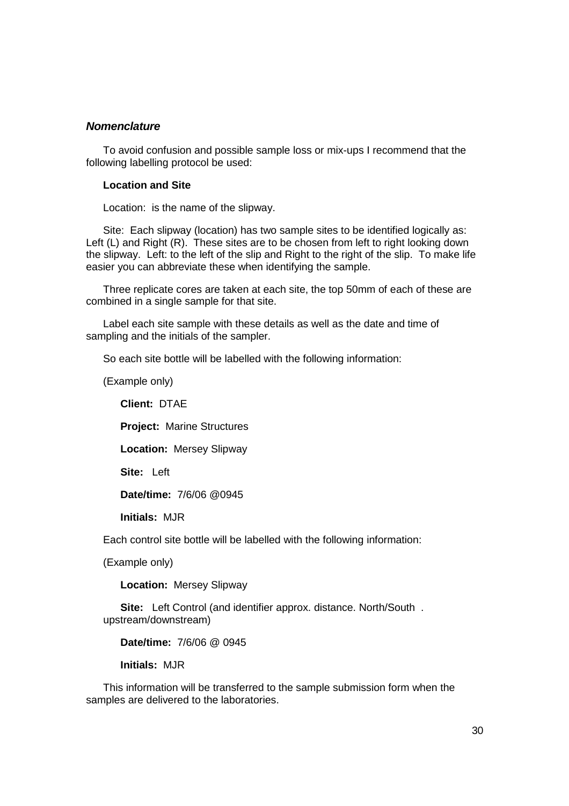#### *Nomenclature*

To avoid confusion and possible sample loss or mix-ups I recommend that the following labelling protocol be used:

#### **Location and Site**

Location: is the name of the slipway.

Site: Each slipway (location) has two sample sites to be identified logically as: Left (L) and Right (R). These sites are to be chosen from left to right looking down the slipway. Left: to the left of the slip and Right to the right of the slip. To make life easier you can abbreviate these when identifying the sample.

Three replicate cores are taken at each site, the top 50mm of each of these are combined in a single sample for that site.

Label each site sample with these details as well as the date and time of sampling and the initials of the sampler.

So each site bottle will be labelled with the following information:

(Example only)

**Client:** DTAE

**Project:** Marine Structures

**Location:** Mersey Slipway

**Site:** Left

**Date/time:** 7/6/06 @0945

**Initials:** MJR

Each control site bottle will be labelled with the following information:

(Example only)

**Location:** Mersey Slipway

**Site:** Left Control (and identifier approx. distance. North/South . upstream/downstream)

**Date/time:** 7/6/06 @ 0945

**Initials:** MJR

This information will be transferred to the sample submission form when the samples are delivered to the laboratories.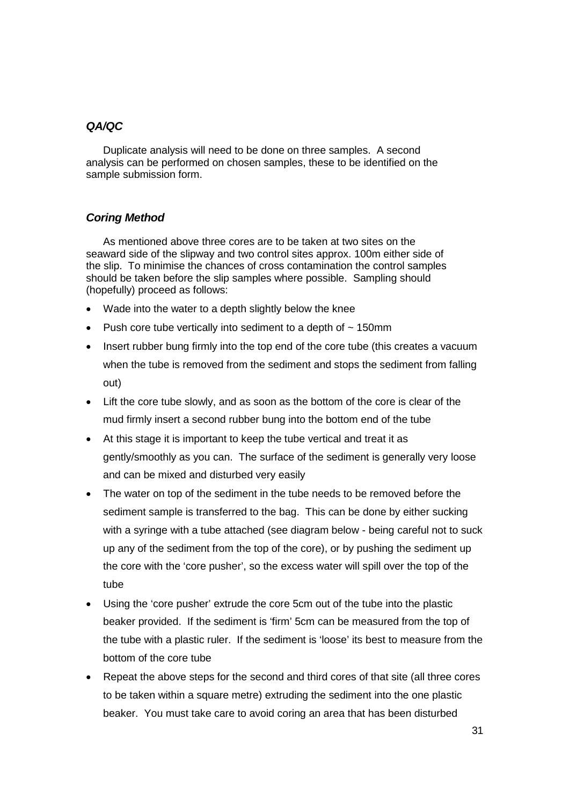## *QA/QC*

Duplicate analysis will need to be done on three samples. A second analysis can be performed on chosen samples, these to be identified on the sample submission form.

## *Coring Method*

As mentioned above three cores are to be taken at two sites on the seaward side of the slipway and two control sites approx. 100m either side of the slip. To minimise the chances of cross contamination the control samples should be taken before the slip samples where possible. Sampling should (hopefully) proceed as follows:

- Wade into the water to a depth slightly below the knee
- Push core tube vertically into sediment to a depth of  $\sim$  150mm
- Insert rubber bung firmly into the top end of the core tube (this creates a vacuum when the tube is removed from the sediment and stops the sediment from falling out)
- Lift the core tube slowly, and as soon as the bottom of the core is clear of the mud firmly insert a second rubber bung into the bottom end of the tube
- At this stage it is important to keep the tube vertical and treat it as gently/smoothly as you can. The surface of the sediment is generally very loose and can be mixed and disturbed very easily
- The water on top of the sediment in the tube needs to be removed before the sediment sample is transferred to the bag. This can be done by either sucking with a syringe with a tube attached (see diagram below - being careful not to suck up any of the sediment from the top of the core), or by pushing the sediment up the core with the 'core pusher', so the excess water will spill over the top of the tube
- Using the 'core pusher' extrude the core 5cm out of the tube into the plastic beaker provided. If the sediment is 'firm' 5cm can be measured from the top of the tube with a plastic ruler. If the sediment is 'loose' its best to measure from the bottom of the core tube
- Repeat the above steps for the second and third cores of that site (all three cores to be taken within a square metre) extruding the sediment into the one plastic beaker. You must take care to avoid coring an area that has been disturbed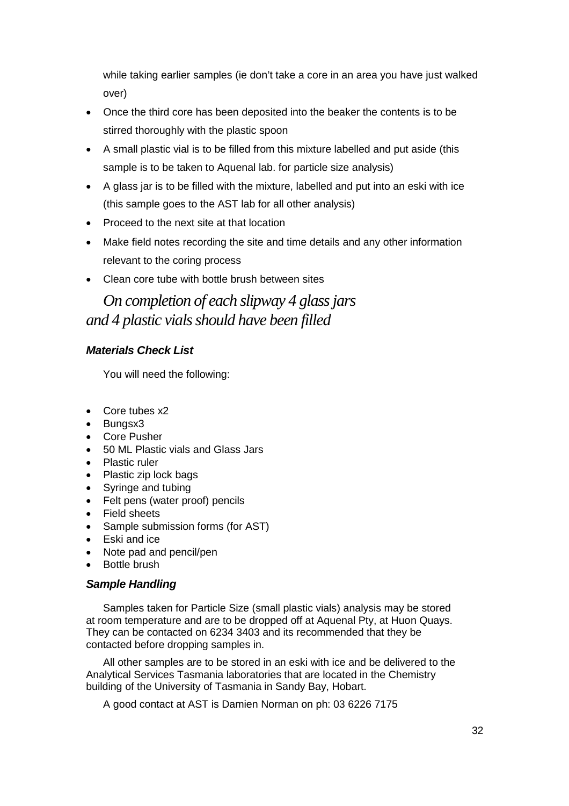while taking earlier samples (ie don't take a core in an area you have just walked over)

- Once the third core has been deposited into the beaker the contents is to be stirred thoroughly with the plastic spoon
- A small plastic vial is to be filled from this mixture labelled and put aside (this sample is to be taken to Aquenal lab. for particle size analysis)
- A glass jar is to be filled with the mixture, labelled and put into an eski with ice (this sample goes to the AST lab for all other analysis)
- Proceed to the next site at that location
- Make field notes recording the site and time details and any other information relevant to the coring process
- Clean core tube with bottle brush between sites

*On completion of each slipway 4 glass jars and 4 plastic vials should have been filled*

## *Materials Check List*

You will need the following:

- Core tubes x2
- Bungsx3
- Core Pusher
- 50 ML Plastic vials and Glass Jars
- Plastic ruler
- Plastic zip lock bags
- Syringe and tubing
- Felt pens (water proof) pencils
- Field sheets
- Sample submission forms (for AST)
- Eski and ice
- Note pad and pencil/pen
- Bottle brush

## *Sample Handling*

Samples taken for Particle Size (small plastic vials) analysis may be stored at room temperature and are to be dropped off at Aquenal Pty, at Huon Quays. They can be contacted on 6234 3403 and its recommended that they be contacted before dropping samples in.

All other samples are to be stored in an eski with ice and be delivered to the Analytical Services Tasmania laboratories that are located in the Chemistry building of the University of Tasmania in Sandy Bay, Hobart.

A good contact at AST is Damien Norman on ph: 03 6226 7175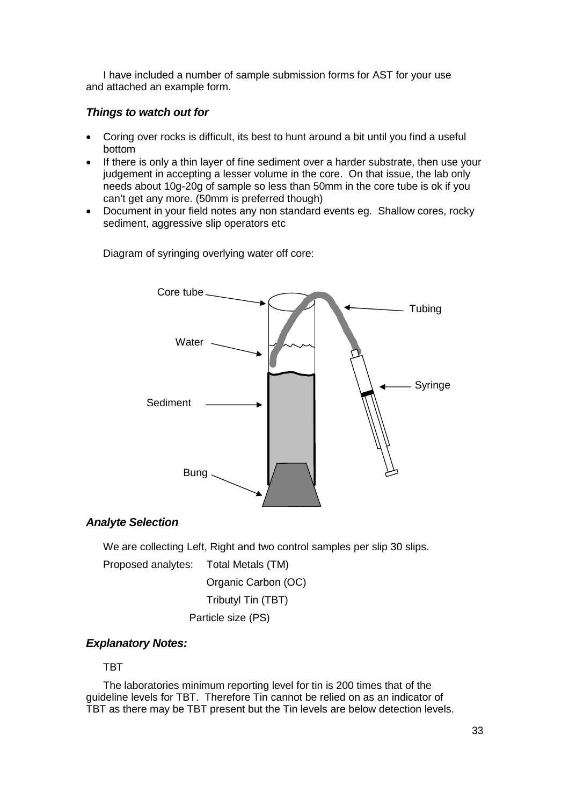I have included a number of sample submission forms for AST for your use and attached an example form.

## *Things to watch out for*

- Coring over rocks is difficult, its best to hunt around a bit until you find a useful bottom
- If there is only a thin layer of fine sediment over a harder substrate, then use your judgement in accepting a lesser volume in the core. On that issue, the lab only needs about 10g-20g of sample so less than 50mm in the core tube is ok if you can't get any more. (50mm is preferred though)
- Document in your field notes any non standard events eg. Shallow cores, rocky sediment, aggressive slip operators etc

Core tube **Tubing** Water Syringe Sediment Bung.

Diagram of syringing overlying water off core:

### *Analyte Selection*

We are collecting Left, Right and two control samples per slip 30 slips.

Proposed analytes: Total Metals (TM)

Organic Carbon (OC)

Tributyl Tin (TBT)

Particle size (PS)

## *Explanatory Notes:*

## **TBT**

The laboratories minimum reporting level for tin is 200 times that of the guideline levels for TBT. Therefore Tin cannot be relied on as an indicator of TBT as there may be TBT present but the Tin levels are below detection levels.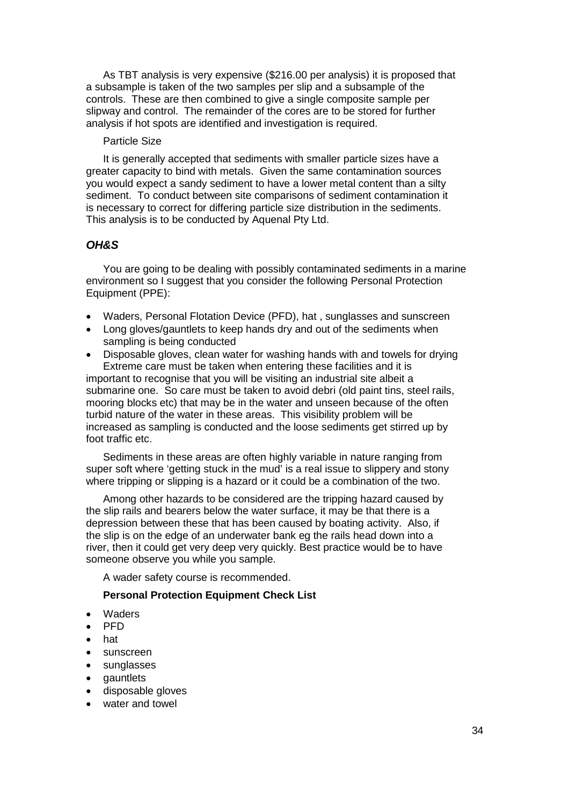As TBT analysis is very expensive (\$216.00 per analysis) it is proposed that a subsample is taken of the two samples per slip and a subsample of the controls. These are then combined to give a single composite sample per slipway and control. The remainder of the cores are to be stored for further analysis if hot spots are identified and investigation is required.

#### Particle Size

It is generally accepted that sediments with smaller particle sizes have a greater capacity to bind with metals. Given the same contamination sources you would expect a sandy sediment to have a lower metal content than a silty sediment. To conduct between site comparisons of sediment contamination it is necessary to correct for differing particle size distribution in the sediments. This analysis is to be conducted by Aquenal Pty Ltd.

### *OH&S*

You are going to be dealing with possibly contaminated sediments in a marine environment so I suggest that you consider the following Personal Protection Equipment (PPE):

- Waders, Personal Flotation Device (PFD), hat , sunglasses and sunscreen
- Long gloves/gauntlets to keep hands dry and out of the sediments when sampling is being conducted
- Disposable gloves, clean water for washing hands with and towels for drying Extreme care must be taken when entering these facilities and it is important to recognise that you will be visiting an industrial site albeit a submarine one. So care must be taken to avoid debri (old paint tins, steel rails, mooring blocks etc) that may be in the water and unseen because of the often turbid nature of the water in these areas. This visibility problem will be increased as sampling is conducted and the loose sediments get stirred up by foot traffic etc.

Sediments in these areas are often highly variable in nature ranging from super soft where 'getting stuck in the mud' is a real issue to slippery and stony where tripping or slipping is a hazard or it could be a combination of the two.

Among other hazards to be considered are the tripping hazard caused by the slip rails and bearers below the water surface, it may be that there is a depression between these that has been caused by boating activity. Also, if the slip is on the edge of an underwater bank eg the rails head down into a river, then it could get very deep very quickly. Best practice would be to have someone observe you while you sample.

A wader safety course is recommended.

#### **Personal Protection Equipment Check List**

- Waders
- $\bullet$  PFD
- hat
- sunscreen
- sunglasses
- gauntlets
- disposable gloves
- water and towel